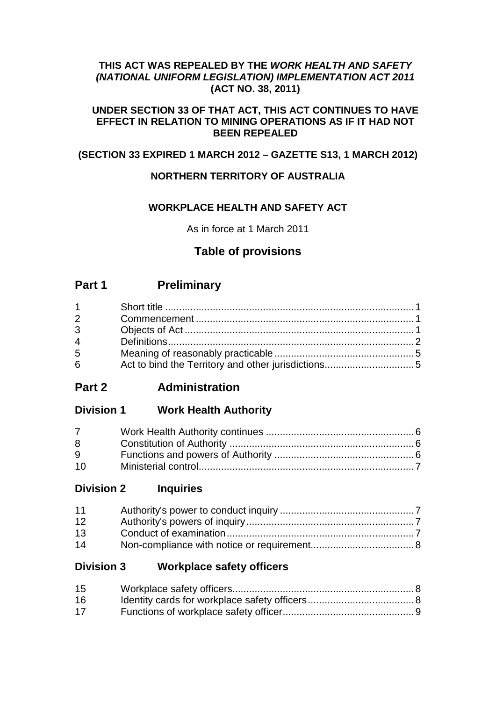## **THIS ACT WAS REPEALED BY THE** *WORK HEALTH AND SAFETY (NATIONAL UNIFORM LEGISLATION) IMPLEMENTATION ACT 2011* **(ACT NO. 38, 2011)**

## **UNDER SECTION 33 OF THAT ACT, THIS ACT CONTINUES TO HAVE EFFECT IN RELATION TO MINING OPERATIONS AS IF IT HAD NOT BEEN REPEALED**

## **(SECTION 33 EXPIRED 1 MARCH 2012 – GAZETTE S13, 1 MARCH 2012)**

## **NORTHERN TERRITORY OF AUSTRALIA**

## **WORKPLACE HEALTH AND SAFETY ACT**

As in force at 1 March 2011

## **Table of provisions**

## **Part 1 Preliminary**

| $1 \quad \Box$ |  |
|----------------|--|
| $2^{\sim}$     |  |
| $3^{\circ}$    |  |
| $\overline{4}$ |  |
| 5              |  |
| 6 <sup>1</sup> |  |

## **Part 2 Administration**

## **Division 1 Work Health Authority**

| 8  |  |
|----|--|
| 9  |  |
| 10 |  |

## **Division 2 Inquiries**

| 11 |  |
|----|--|
| 12 |  |
| 13 |  |
| 14 |  |

## **Division 3 Workplace safety officers**

| 15 |  |
|----|--|
| 16 |  |
| 17 |  |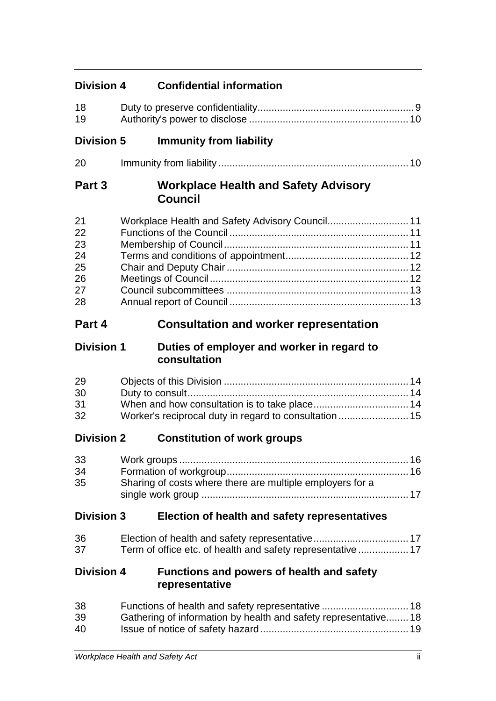| <b>Division 4</b>                            | <b>Confidential information</b>                                    |  |
|----------------------------------------------|--------------------------------------------------------------------|--|
| 18<br>19                                     |                                                                    |  |
| <b>Division 5</b>                            | <b>Immunity from liability</b>                                     |  |
| 20                                           |                                                                    |  |
| Part 3                                       | <b>Workplace Health and Safety Advisory</b><br><b>Council</b>      |  |
| 21<br>22<br>23<br>24<br>25<br>26<br>27<br>28 |                                                                    |  |
| Part 4                                       | <b>Consultation and worker representation</b>                      |  |
| <b>Division 1</b>                            | Duties of employer and worker in regard to<br>consultation         |  |
| 29<br>30<br>31<br>32                         | Worker's reciprocal duty in regard to consultation  15             |  |
| <b>Division 2</b>                            | <b>Constitution of work groups</b>                                 |  |
| 33<br>34<br>35                               | Sharing of costs where there are multiple employers for a          |  |
| <b>Division 3</b>                            | Election of health and safety representatives                      |  |
| 36<br>37                                     | Term of office etc. of health and safety representative  17        |  |
| <b>Division 4</b>                            | <b>Functions and powers of health and safety</b><br>representative |  |
| 38<br>39<br>40                               | Gathering of information by health and safety representative 18    |  |
|                                              |                                                                    |  |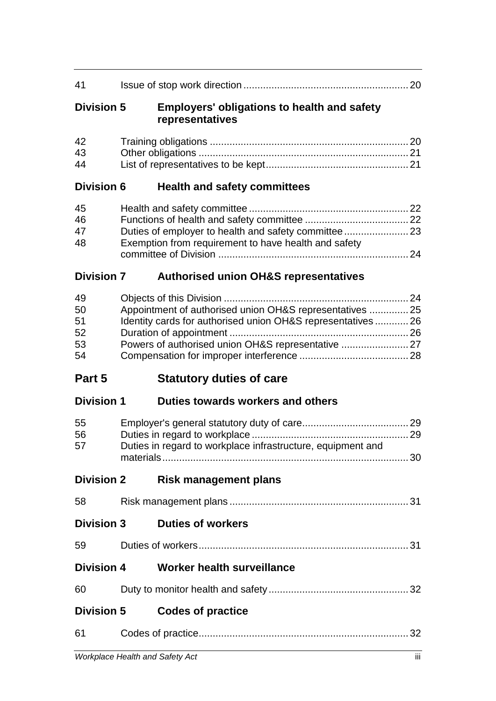| 41                               |                                                                                                                                                                                |
|----------------------------------|--------------------------------------------------------------------------------------------------------------------------------------------------------------------------------|
| <b>Division 5</b>                | <b>Employers' obligations to health and safety</b><br>representatives                                                                                                          |
| 42<br>43<br>44                   |                                                                                                                                                                                |
| <b>Division 6</b>                | <b>Health and safety committees</b>                                                                                                                                            |
| 45<br>46<br>47<br>48             | Exemption from requirement to have health and safety                                                                                                                           |
| <b>Division 7</b>                | <b>Authorised union OH&amp;S representatives</b>                                                                                                                               |
| 49<br>50<br>51<br>52<br>53<br>54 | Appointment of authorised union OH&S representatives  25<br>Identity cards for authorised union OH&S representatives  26<br>Powers of authorised union OH&S representative  27 |
|                                  |                                                                                                                                                                                |
| Part 5                           | <b>Statutory duties of care</b>                                                                                                                                                |
| <b>Division 1</b>                | Duties towards workers and others                                                                                                                                              |
| 55<br>56<br>57                   | Duties in regard to workplace infrastructure, equipment and                                                                                                                    |
| <b>Division 2</b>                | <b>Risk management plans</b>                                                                                                                                                   |
| 58                               |                                                                                                                                                                                |
| <b>Division 3</b>                | <b>Duties of workers</b>                                                                                                                                                       |
| 59                               |                                                                                                                                                                                |
| <b>Division 4</b>                | Worker health surveillance                                                                                                                                                     |
| 60                               |                                                                                                                                                                                |
| <b>Division 5</b>                | <b>Codes of practice</b>                                                                                                                                                       |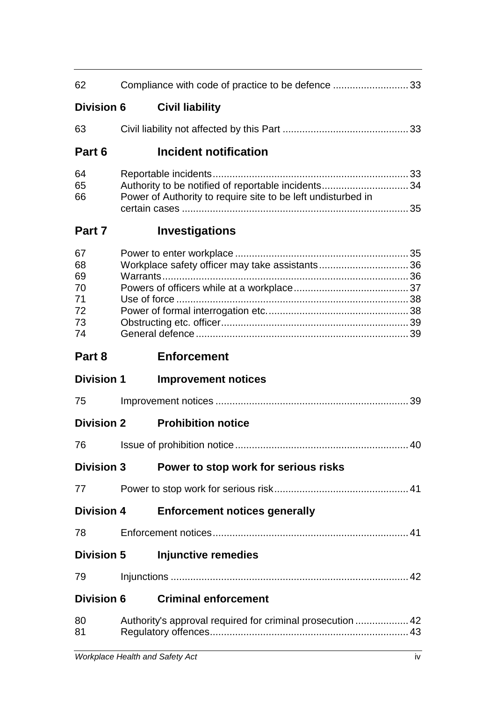| 62                                           | Compliance with code of practice to be defence 33                                                                  |    |
|----------------------------------------------|--------------------------------------------------------------------------------------------------------------------|----|
| <b>Division 6</b>                            | <b>Civil liability</b>                                                                                             |    |
| 63                                           |                                                                                                                    |    |
| Part 6                                       | Incident notification                                                                                              |    |
| 64<br>65<br>66                               | Authority to be notified of reportable incidents34<br>Power of Authority to require site to be left undisturbed in |    |
| Part 7                                       | <b>Investigations</b>                                                                                              |    |
| 67<br>68<br>69<br>70<br>71<br>72<br>73<br>74 |                                                                                                                    |    |
| Part 8                                       | <b>Enforcement</b>                                                                                                 |    |
| <b>Division 1</b>                            | <b>Improvement notices</b>                                                                                         |    |
|                                              |                                                                                                                    |    |
| 75                                           |                                                                                                                    |    |
| <b>Division 2</b>                            | <b>Prohibition notice</b>                                                                                          |    |
| 76 —                                         |                                                                                                                    |    |
| <b>Division 3</b>                            | Power to stop work for serious risks                                                                               | 40 |
| 77                                           |                                                                                                                    |    |
| <b>Division 4</b>                            | <b>Enforcement notices generally</b>                                                                               |    |
| 78                                           |                                                                                                                    |    |
| <b>Division 5</b>                            | <b>Injunctive remedies</b>                                                                                         |    |
| 79                                           |                                                                                                                    |    |
| <b>Division 6</b>                            | <b>Criminal enforcement</b>                                                                                        |    |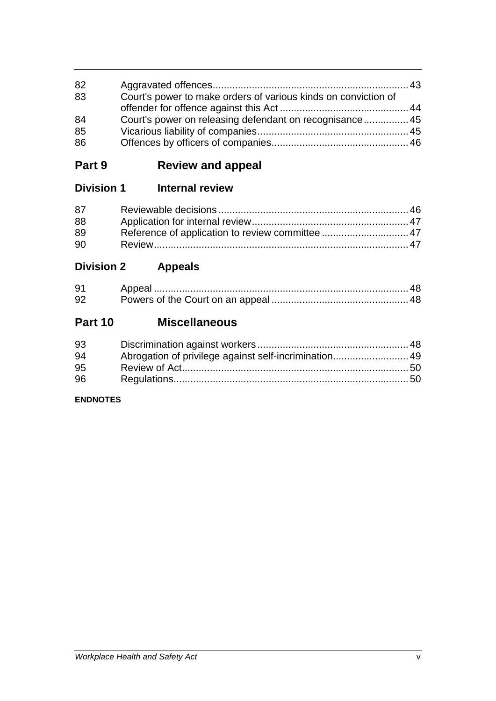| 82<br>83 | Court's power to make orders of various kinds on conviction of |  |
|----------|----------------------------------------------------------------|--|
|          |                                                                |  |
| 84       |                                                                |  |
| 85       |                                                                |  |
| 86       |                                                                |  |

# **Part 9 Review and appeal**

## **Division 1 Internal review**

| 87 |  |
|----|--|
| 88 |  |
| 89 |  |
| 90 |  |

# **Division 2 Appeals**

| 91 |  |
|----|--|
| 92 |  |

# **Part 10 Miscellaneous**

| 93 |  |
|----|--|
| 94 |  |
| 95 |  |
| 96 |  |

## **ENDNOTES**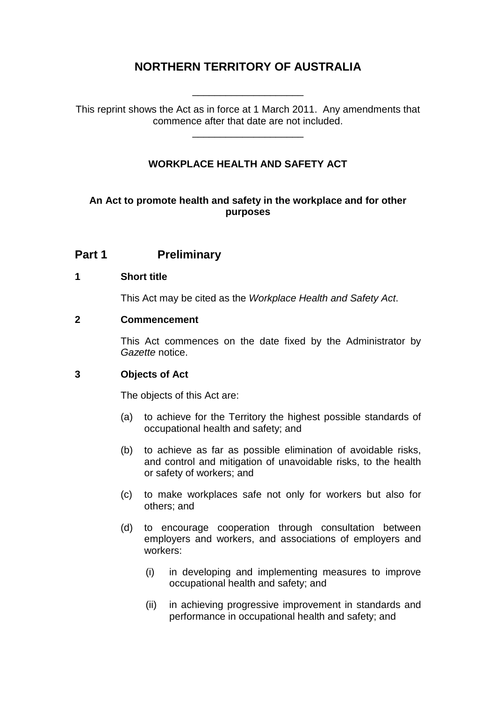## **NORTHERN TERRITORY OF AUSTRALIA**

This reprint shows the Act as in force at 1 March 2011. Any amendments that commence after that date are not included.

\_\_\_\_\_\_\_\_\_\_\_\_\_\_\_\_\_\_\_\_

\_\_\_\_\_\_\_\_\_\_\_\_\_\_\_\_\_\_\_\_

## **WORKPLACE HEALTH AND SAFETY ACT**

## **An Act to promote health and safety in the workplace and for other purposes**

## **Part 1 Preliminary**

### **1 Short title**

This Act may be cited as the *Workplace Health and Safety Act*.

### **2 Commencement**

This Act commences on the date fixed by the Administrator by *Gazette* notice.

## **3 Objects of Act**

The objects of this Act are:

- (a) to achieve for the Territory the highest possible standards of occupational health and safety; and
- (b) to achieve as far as possible elimination of avoidable risks, and control and mitigation of unavoidable risks, to the health or safety of workers; and
- (c) to make workplaces safe not only for workers but also for others; and
- (d) to encourage cooperation through consultation between employers and workers, and associations of employers and workers:
	- (i) in developing and implementing measures to improve occupational health and safety; and
	- (ii) in achieving progressive improvement in standards and performance in occupational health and safety; and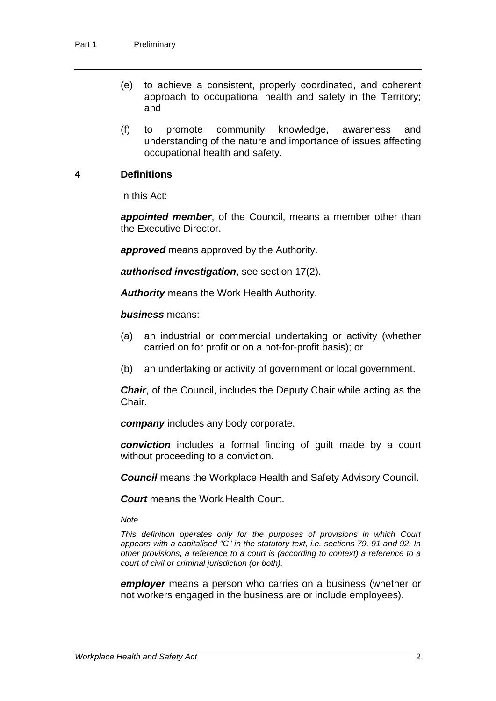- (e) to achieve a consistent, properly coordinated, and coherent approach to occupational health and safety in the Territory; and
- (f) to promote community knowledge, awareness and understanding of the nature and importance of issues affecting occupational health and safety.

## **4 Definitions**

In this Act:

*appointed member*, of the Council, means a member other than the Executive Director.

*approved* means approved by the Authority.

*authorised investigation*, see section 17(2).

*Authority* means the Work Health Authority.

*business* means:

- (a) an industrial or commercial undertaking or activity (whether carried on for profit or on a not-for-profit basis); or
- (b) an undertaking or activity of government or local government.

*Chair*, of the Council, includes the Deputy Chair while acting as the Chair.

*company* includes any body corporate.

*conviction* includes a formal finding of guilt made by a court without proceeding to a conviction.

*Council* means the Workplace Health and Safety Advisory Council.

*Court* means the Work Health Court.

*Note*

*This definition operates only for the purposes of provisions in which Court appears with a capitalised "C" in the statutory text, i.e. sections 79, 91 and 92. In other provisions, a reference to a court is (according to context) a reference to a court of civil or criminal jurisdiction (or both).*

*employer* means a person who carries on a business (whether or not workers engaged in the business are or include employees).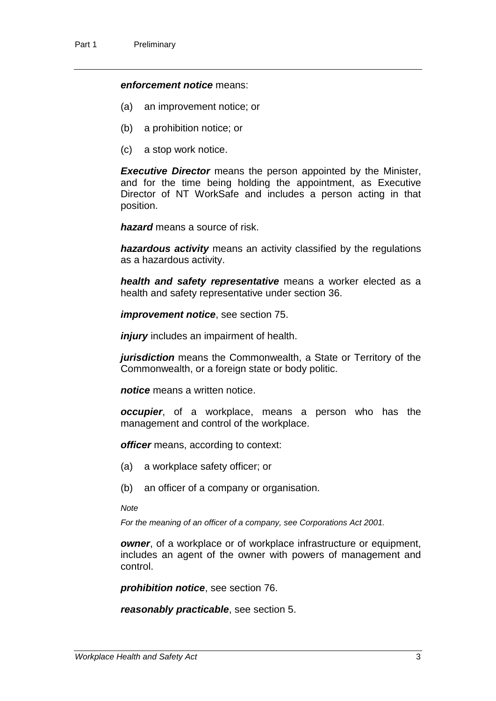#### *enforcement notice* means:

- (a) an improvement notice; or
- (b) a prohibition notice; or
- (c) a stop work notice.

*Executive Director* means the person appointed by the Minister, and for the time being holding the appointment, as Executive Director of NT WorkSafe and includes a person acting in that position.

*hazard* means a source of risk.

*hazardous activity* means an activity classified by the regulations as a hazardous activity.

*health and safety representative* means a worker elected as a health and safety representative under section 36.

*improvement notice*, see section 75.

*injury* includes an impairment of health.

*jurisdiction* means the Commonwealth, a State or Territory of the Commonwealth, or a foreign state or body politic.

*notice* means a written notice.

*occupier*, of a workplace, means a person who has the management and control of the workplace.

*officer* means, according to context:

- (a) a workplace safety officer; or
- (b) an officer of a company or organisation.

*Note*

*For the meaning of an officer of a company, see Corporations Act 2001.*

*owner*, of a workplace or of workplace infrastructure or equipment, includes an agent of the owner with powers of management and control.

*prohibition notice*, see section 76.

*reasonably practicable*, see section 5.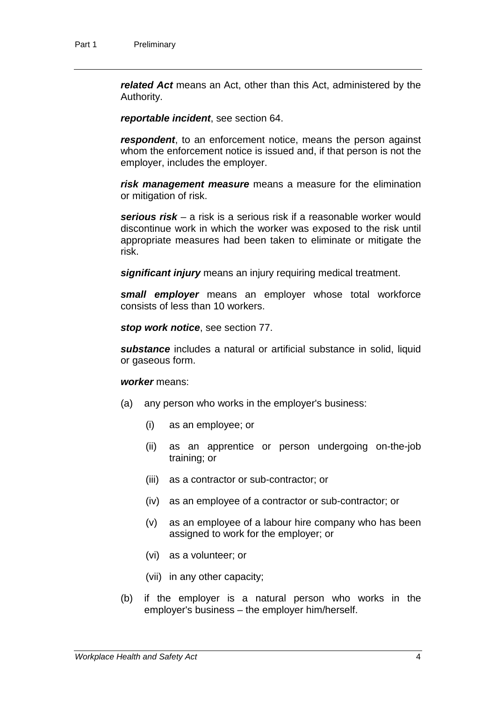*related Act* means an Act, other than this Act, administered by the Authority.

*reportable incident*, see section 64.

*respondent*, to an enforcement notice, means the person against whom the enforcement notice is issued and, if that person is not the employer, includes the employer.

*risk management measure* means a measure for the elimination or mitigation of risk.

*serious risk* – a risk is a serious risk if a reasonable worker would discontinue work in which the worker was exposed to the risk until appropriate measures had been taken to eliminate or mitigate the risk.

*significant injury* means an injury requiring medical treatment.

*small employer* means an employer whose total workforce consists of less than 10 workers.

*stop work notice*, see section 77.

*substance* includes a natural or artificial substance in solid, liquid or gaseous form.

#### *worker* means:

- (a) any person who works in the employer's business:
	- (i) as an employee; or
	- (ii) as an apprentice or person undergoing on-the-job training; or
	- (iii) as a contractor or sub-contractor; or
	- (iv) as an employee of a contractor or sub-contractor; or
	- (v) as an employee of a labour hire company who has been assigned to work for the employer; or
	- (vi) as a volunteer; or
	- (vii) in any other capacity;
- (b) if the employer is a natural person who works in the employer's business – the employer him/herself.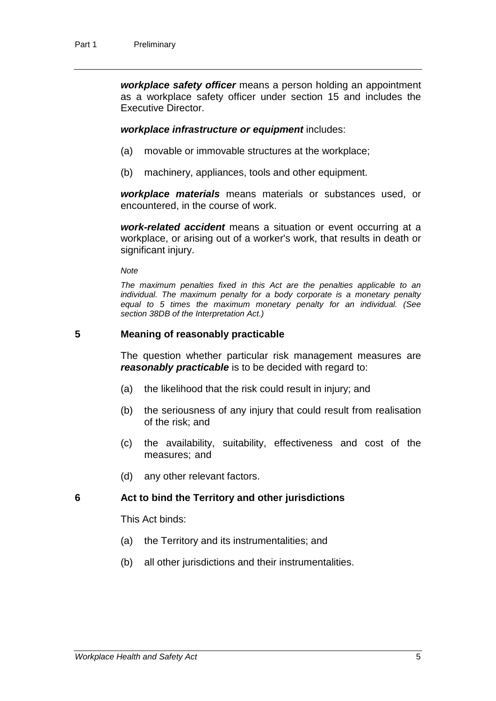*workplace safety officer* means a person holding an appointment as a workplace safety officer under section 15 and includes the Executive Director.

*workplace infrastructure or equipment* includes:

- (a) movable or immovable structures at the workplace;
- (b) machinery, appliances, tools and other equipment.

*workplace materials* means materials or substances used, or encountered, in the course of work.

*work-related accident* means a situation or event occurring at a workplace, or arising out of a worker's work, that results in death or significant injury.

*Note*

*The maximum penalties fixed in this Act are the penalties applicable to an*  individual. The maximum penalty for a body corporate is a monetary penalty *equal to 5 times the maximum monetary penalty for an individual. (See section 38DB of the Interpretation Act.)*

#### **5 Meaning of reasonably practicable**

The question whether particular risk management measures are *reasonably practicable* is to be decided with regard to:

- (a) the likelihood that the risk could result in injury; and
- (b) the seriousness of any injury that could result from realisation of the risk; and
- (c) the availability, suitability, effectiveness and cost of the measures; and
- (d) any other relevant factors.

### **6 Act to bind the Territory and other jurisdictions**

This Act binds:

- (a) the Territory and its instrumentalities; and
- (b) all other jurisdictions and their instrumentalities.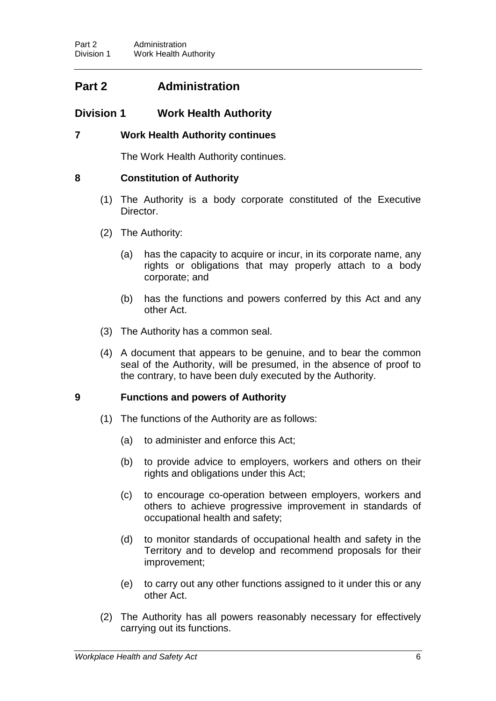## **Part 2 Administration**

## **Division 1 Work Health Authority**

## **7 Work Health Authority continues**

The Work Health Authority continues.

## **8 Constitution of Authority**

- (1) The Authority is a body corporate constituted of the Executive Director.
- (2) The Authority:
	- (a) has the capacity to acquire or incur, in its corporate name, any rights or obligations that may properly attach to a body corporate; and
	- (b) has the functions and powers conferred by this Act and any other Act.
- (3) The Authority has a common seal.
- (4) A document that appears to be genuine, and to bear the common seal of the Authority, will be presumed, in the absence of proof to the contrary, to have been duly executed by the Authority.

## **9 Functions and powers of Authority**

- (1) The functions of the Authority are as follows:
	- (a) to administer and enforce this Act;
	- (b) to provide advice to employers, workers and others on their rights and obligations under this Act;
	- (c) to encourage co-operation between employers, workers and others to achieve progressive improvement in standards of occupational health and safety;
	- (d) to monitor standards of occupational health and safety in the Territory and to develop and recommend proposals for their improvement;
	- (e) to carry out any other functions assigned to it under this or any other Act.
- (2) The Authority has all powers reasonably necessary for effectively carrying out its functions.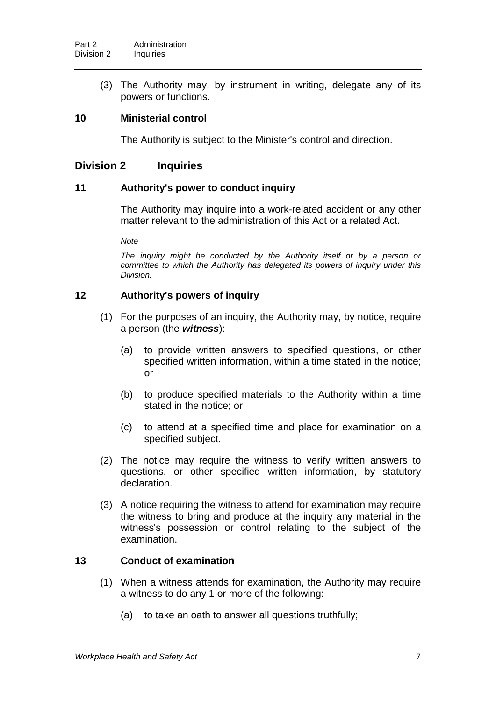(3) The Authority may, by instrument in writing, delegate any of its powers or functions.

## **10 Ministerial control**

The Authority is subject to the Minister's control and direction.

## **Division 2 Inquiries**

## **11 Authority's power to conduct inquiry**

The Authority may inquire into a work-related accident or any other matter relevant to the administration of this Act or a related Act.

*Note*

The inquiry might be conducted by the Authority itself or by a person or *committee to which the Authority has delegated its powers of inquiry under this Division.*

## **12 Authority's powers of inquiry**

- (1) For the purposes of an inquiry, the Authority may, by notice, require a person (the *witness*):
	- (a) to provide written answers to specified questions, or other specified written information, within a time stated in the notice; or
	- (b) to produce specified materials to the Authority within a time stated in the notice; or
	- (c) to attend at a specified time and place for examination on a specified subject.
- (2) The notice may require the witness to verify written answers to questions, or other specified written information, by statutory declaration.
- (3) A notice requiring the witness to attend for examination may require the witness to bring and produce at the inquiry any material in the witness's possession or control relating to the subject of the examination.

## **13 Conduct of examination**

- (1) When a witness attends for examination, the Authority may require a witness to do any 1 or more of the following:
	- (a) to take an oath to answer all questions truthfully;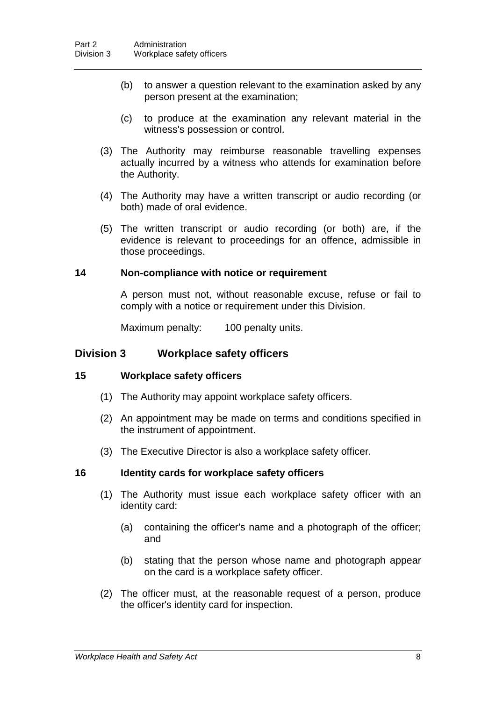- (b) to answer a question relevant to the examination asked by any person present at the examination;
- (c) to produce at the examination any relevant material in the witness's possession or control.
- (3) The Authority may reimburse reasonable travelling expenses actually incurred by a witness who attends for examination before the Authority.
- (4) The Authority may have a written transcript or audio recording (or both) made of oral evidence.
- (5) The written transcript or audio recording (or both) are, if the evidence is relevant to proceedings for an offence, admissible in those proceedings.

#### **14 Non-compliance with notice or requirement**

A person must not, without reasonable excuse, refuse or fail to comply with a notice or requirement under this Division.

Maximum penalty: 100 penalty units.

## **Division 3 Workplace safety officers**

#### **15 Workplace safety officers**

- (1) The Authority may appoint workplace safety officers.
- (2) An appointment may be made on terms and conditions specified in the instrument of appointment.
- (3) The Executive Director is also a workplace safety officer.

#### **16 Identity cards for workplace safety officers**

- (1) The Authority must issue each workplace safety officer with an identity card:
	- (a) containing the officer's name and a photograph of the officer; and
	- (b) stating that the person whose name and photograph appear on the card is a workplace safety officer.
- (2) The officer must, at the reasonable request of a person, produce the officer's identity card for inspection.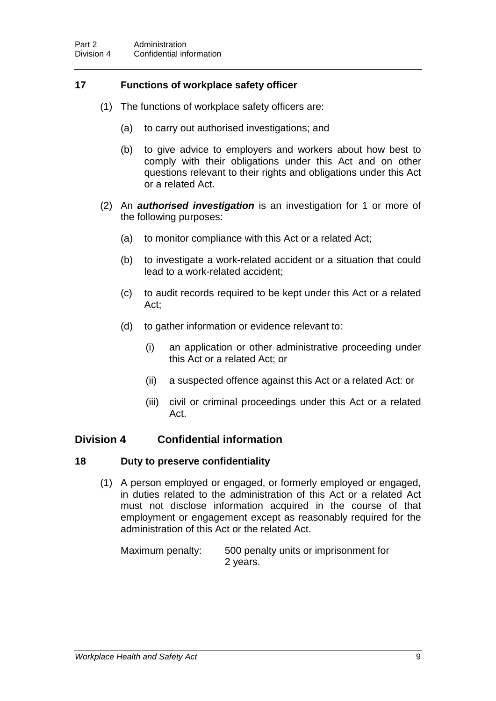## **17 Functions of workplace safety officer**

- (1) The functions of workplace safety officers are:
	- (a) to carry out authorised investigations; and
	- (b) to give advice to employers and workers about how best to comply with their obligations under this Act and on other questions relevant to their rights and obligations under this Act or a related Act.
- (2) An *authorised investigation* is an investigation for 1 or more of the following purposes:
	- (a) to monitor compliance with this Act or a related Act;
	- (b) to investigate a work-related accident or a situation that could lead to a work-related accident;
	- (c) to audit records required to be kept under this Act or a related Act;
	- (d) to gather information or evidence relevant to:
		- (i) an application or other administrative proceeding under this Act or a related Act; or
		- (ii) a suspected offence against this Act or a related Act: or
		- (iii) civil or criminal proceedings under this Act or a related Act.

## **Division 4 Confidential information**

#### **18 Duty to preserve confidentiality**

(1) A person employed or engaged, or formerly employed or engaged, in duties related to the administration of this Act or a related Act must not disclose information acquired in the course of that employment or engagement except as reasonably required for the administration of this Act or the related Act.

Maximum penalty: 500 penalty units or imprisonment for 2 years.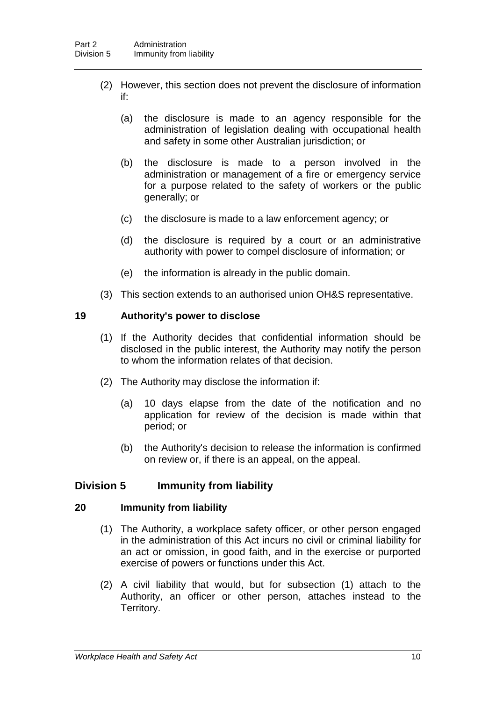- (2) However, this section does not prevent the disclosure of information if:
	- (a) the disclosure is made to an agency responsible for the administration of legislation dealing with occupational health and safety in some other Australian jurisdiction; or
	- (b) the disclosure is made to a person involved in the administration or management of a fire or emergency service for a purpose related to the safety of workers or the public generally; or
	- (c) the disclosure is made to a law enforcement agency; or
	- (d) the disclosure is required by a court or an administrative authority with power to compel disclosure of information; or
	- (e) the information is already in the public domain.
- (3) This section extends to an authorised union OH&S representative.

### **19 Authority's power to disclose**

- (1) If the Authority decides that confidential information should be disclosed in the public interest, the Authority may notify the person to whom the information relates of that decision.
- (2) The Authority may disclose the information if:
	- (a) 10 days elapse from the date of the notification and no application for review of the decision is made within that period; or
	- (b) the Authority's decision to release the information is confirmed on review or, if there is an appeal, on the appeal.

## **Division 5 Immunity from liability**

## **20 Immunity from liability**

- (1) The Authority, a workplace safety officer, or other person engaged in the administration of this Act incurs no civil or criminal liability for an act or omission, in good faith, and in the exercise or purported exercise of powers or functions under this Act.
- (2) A civil liability that would, but for subsection (1) attach to the Authority, an officer or other person, attaches instead to the Territory.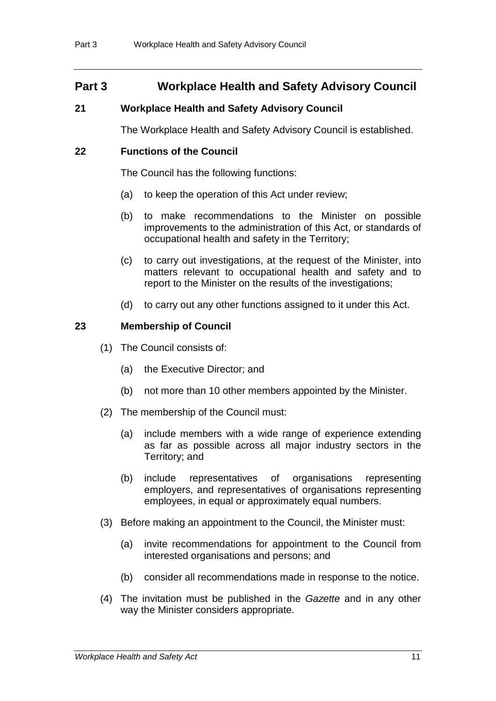## **Part 3 Workplace Health and Safety Advisory Council**

## **21 Workplace Health and Safety Advisory Council**

The Workplace Health and Safety Advisory Council is established.

## **22 Functions of the Council**

The Council has the following functions:

- (a) to keep the operation of this Act under review;
- (b) to make recommendations to the Minister on possible improvements to the administration of this Act, or standards of occupational health and safety in the Territory;
- (c) to carry out investigations, at the request of the Minister, into matters relevant to occupational health and safety and to report to the Minister on the results of the investigations;
- (d) to carry out any other functions assigned to it under this Act.

## **23 Membership of Council**

- (1) The Council consists of:
	- (a) the Executive Director; and
	- (b) not more than 10 other members appointed by the Minister.
- (2) The membership of the Council must:
	- (a) include members with a wide range of experience extending as far as possible across all major industry sectors in the Territory; and
	- (b) include representatives of organisations representing employers, and representatives of organisations representing employees, in equal or approximately equal numbers.
- (3) Before making an appointment to the Council, the Minister must:
	- (a) invite recommendations for appointment to the Council from interested organisations and persons; and
	- (b) consider all recommendations made in response to the notice.
- (4) The invitation must be published in the *Gazette* and in any other way the Minister considers appropriate.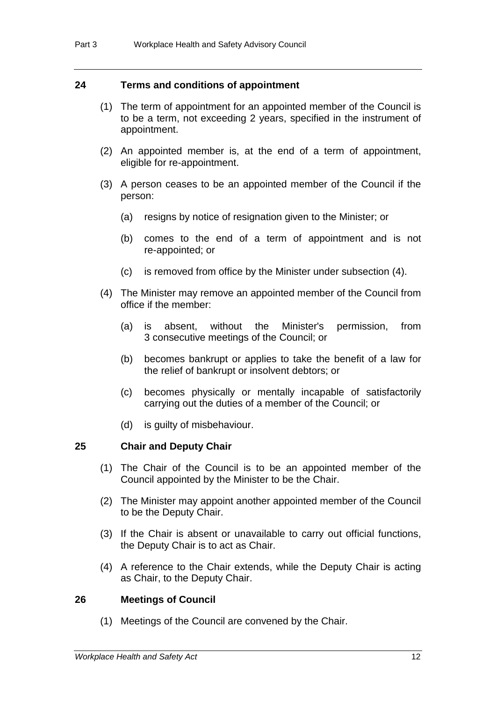### **24 Terms and conditions of appointment**

- (1) The term of appointment for an appointed member of the Council is to be a term, not exceeding 2 years, specified in the instrument of appointment.
- (2) An appointed member is, at the end of a term of appointment, eligible for re-appointment.
- (3) A person ceases to be an appointed member of the Council if the person:
	- (a) resigns by notice of resignation given to the Minister; or
	- (b) comes to the end of a term of appointment and is not re-appointed; or
	- (c) is removed from office by the Minister under subsection (4).
- (4) The Minister may remove an appointed member of the Council from office if the member:
	- (a) is absent, without the Minister's permission, from 3 consecutive meetings of the Council; or
	- (b) becomes bankrupt or applies to take the benefit of a law for the relief of bankrupt or insolvent debtors; or
	- (c) becomes physically or mentally incapable of satisfactorily carrying out the duties of a member of the Council; or
	- (d) is guilty of misbehaviour.

## **25 Chair and Deputy Chair**

- (1) The Chair of the Council is to be an appointed member of the Council appointed by the Minister to be the Chair.
- (2) The Minister may appoint another appointed member of the Council to be the Deputy Chair.
- (3) If the Chair is absent or unavailable to carry out official functions, the Deputy Chair is to act as Chair.
- (4) A reference to the Chair extends, while the Deputy Chair is acting as Chair, to the Deputy Chair.

#### **26 Meetings of Council**

(1) Meetings of the Council are convened by the Chair.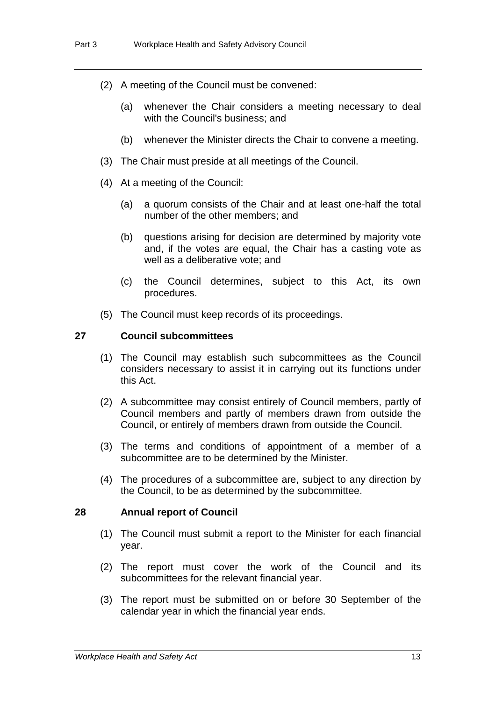- (2) A meeting of the Council must be convened:
	- (a) whenever the Chair considers a meeting necessary to deal with the Council's business; and
	- (b) whenever the Minister directs the Chair to convene a meeting.
- (3) The Chair must preside at all meetings of the Council.
- (4) At a meeting of the Council:
	- (a) a quorum consists of the Chair and at least one-half the total number of the other members; and
	- (b) questions arising for decision are determined by majority vote and, if the votes are equal, the Chair has a casting vote as well as a deliberative vote; and
	- (c) the Council determines, subject to this Act, its own procedures.
- (5) The Council must keep records of its proceedings.

## **27 Council subcommittees**

- (1) The Council may establish such subcommittees as the Council considers necessary to assist it in carrying out its functions under this Act.
- (2) A subcommittee may consist entirely of Council members, partly of Council members and partly of members drawn from outside the Council, or entirely of members drawn from outside the Council.
- (3) The terms and conditions of appointment of a member of a subcommittee are to be determined by the Minister.
- (4) The procedures of a subcommittee are, subject to any direction by the Council, to be as determined by the subcommittee.

#### **28 Annual report of Council**

- (1) The Council must submit a report to the Minister for each financial year.
- (2) The report must cover the work of the Council and its subcommittees for the relevant financial year.
- (3) The report must be submitted on or before 30 September of the calendar year in which the financial year ends.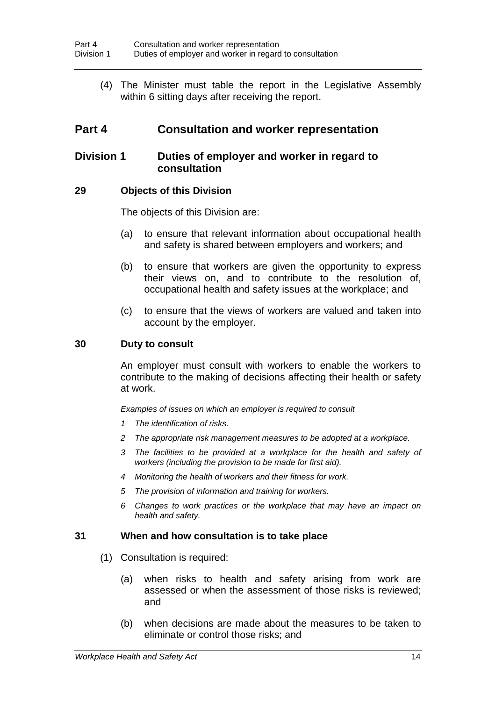(4) The Minister must table the report in the Legislative Assembly within 6 sitting days after receiving the report.

## **Part 4 Consultation and worker representation**

## **Division 1 Duties of employer and worker in regard to consultation**

## **29 Objects of this Division**

The objects of this Division are:

- (a) to ensure that relevant information about occupational health and safety is shared between employers and workers; and
- (b) to ensure that workers are given the opportunity to express their views on, and to contribute to the resolution of, occupational health and safety issues at the workplace; and
- (c) to ensure that the views of workers are valued and taken into account by the employer.

### **30 Duty to consult**

An employer must consult with workers to enable the workers to contribute to the making of decisions affecting their health or safety at work.

*Examples of issues on which an employer is required to consult*

- *1 The identification of risks.*
- *2 The appropriate risk management measures to be adopted at a workplace.*
- *3 The facilities to be provided at a workplace for the health and safety of workers (including the provision to be made for first aid).*
- *4 Monitoring the health of workers and their fitness for work.*
- *5 The provision of information and training for workers.*
- *6 Changes to work practices or the workplace that may have an impact on health and safety.*

## **31 When and how consultation is to take place**

- (1) Consultation is required:
	- (a) when risks to health and safety arising from work are assessed or when the assessment of those risks is reviewed; and
	- (b) when decisions are made about the measures to be taken to eliminate or control those risks; and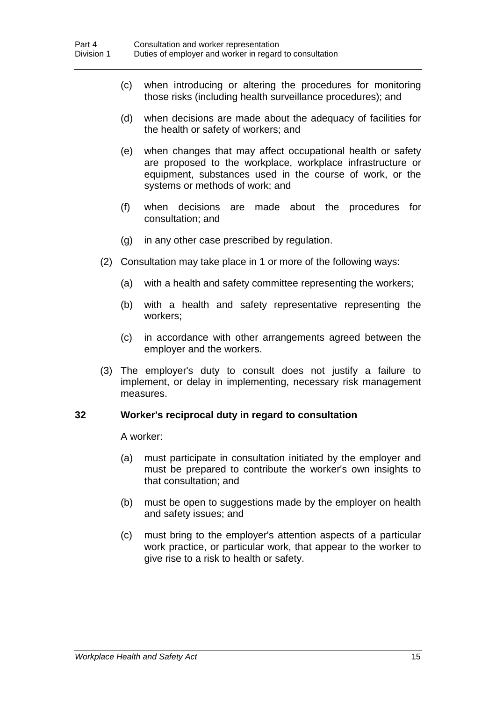- (c) when introducing or altering the procedures for monitoring those risks (including health surveillance procedures); and
- (d) when decisions are made about the adequacy of facilities for the health or safety of workers; and
- (e) when changes that may affect occupational health or safety are proposed to the workplace, workplace infrastructure or equipment, substances used in the course of work, or the systems or methods of work; and
- (f) when decisions are made about the procedures for consultation; and
- (g) in any other case prescribed by regulation.
- (2) Consultation may take place in 1 or more of the following ways:
	- (a) with a health and safety committee representing the workers;
	- (b) with a health and safety representative representing the workers;
	- (c) in accordance with other arrangements agreed between the employer and the workers.
- (3) The employer's duty to consult does not justify a failure to implement, or delay in implementing, necessary risk management measures.

#### **32 Worker's reciprocal duty in regard to consultation**

A worker:

- (a) must participate in consultation initiated by the employer and must be prepared to contribute the worker's own insights to that consultation; and
- (b) must be open to suggestions made by the employer on health and safety issues; and
- (c) must bring to the employer's attention aspects of a particular work practice, or particular work, that appear to the worker to give rise to a risk to health or safety.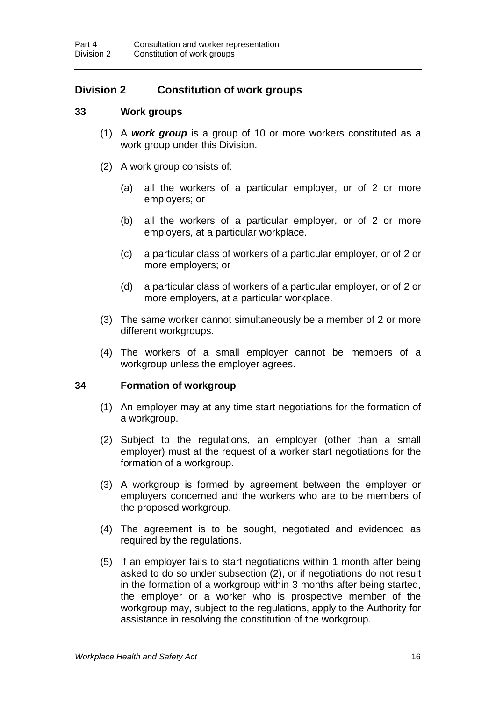## **Division 2 Constitution of work groups**

### **33 Work groups**

- (1) A *work group* is a group of 10 or more workers constituted as a work group under this Division.
- (2) A work group consists of:
	- (a) all the workers of a particular employer, or of 2 or more employers; or
	- (b) all the workers of a particular employer, or of 2 or more employers, at a particular workplace.
	- (c) a particular class of workers of a particular employer, or of 2 or more employers; or
	- (d) a particular class of workers of a particular employer, or of 2 or more employers, at a particular workplace.
- (3) The same worker cannot simultaneously be a member of 2 or more different workgroups.
- (4) The workers of a small employer cannot be members of a workgroup unless the employer agrees.

#### **34 Formation of workgroup**

- (1) An employer may at any time start negotiations for the formation of a workgroup.
- (2) Subject to the regulations, an employer (other than a small employer) must at the request of a worker start negotiations for the formation of a workgroup.
- (3) A workgroup is formed by agreement between the employer or employers concerned and the workers who are to be members of the proposed workgroup.
- (4) The agreement is to be sought, negotiated and evidenced as required by the regulations.
- (5) If an employer fails to start negotiations within 1 month after being asked to do so under subsection (2), or if negotiations do not result in the formation of a workgroup within 3 months after being started, the employer or a worker who is prospective member of the workgroup may, subject to the regulations, apply to the Authority for assistance in resolving the constitution of the workgroup.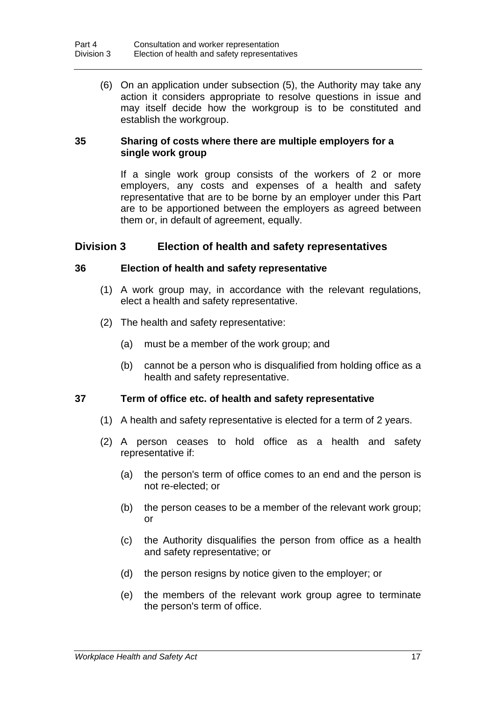(6) On an application under subsection (5), the Authority may take any action it considers appropriate to resolve questions in issue and may itself decide how the workgroup is to be constituted and establish the workgroup.

## **35 Sharing of costs where there are multiple employers for a single work group**

If a single work group consists of the workers of 2 or more employers, any costs and expenses of a health and safety representative that are to be borne by an employer under this Part are to be apportioned between the employers as agreed between them or, in default of agreement, equally.

## **Division 3 Election of health and safety representatives**

### **36 Election of health and safety representative**

- (1) A work group may, in accordance with the relevant regulations, elect a health and safety representative.
- (2) The health and safety representative:
	- (a) must be a member of the work group; and
	- (b) cannot be a person who is disqualified from holding office as a health and safety representative.

## **37 Term of office etc. of health and safety representative**

- (1) A health and safety representative is elected for a term of 2 years.
- (2) A person ceases to hold office as a health and safety representative if:
	- (a) the person's term of office comes to an end and the person is not re-elected; or
	- (b) the person ceases to be a member of the relevant work group; or
	- (c) the Authority disqualifies the person from office as a health and safety representative; or
	- (d) the person resigns by notice given to the employer; or
	- (e) the members of the relevant work group agree to terminate the person's term of office.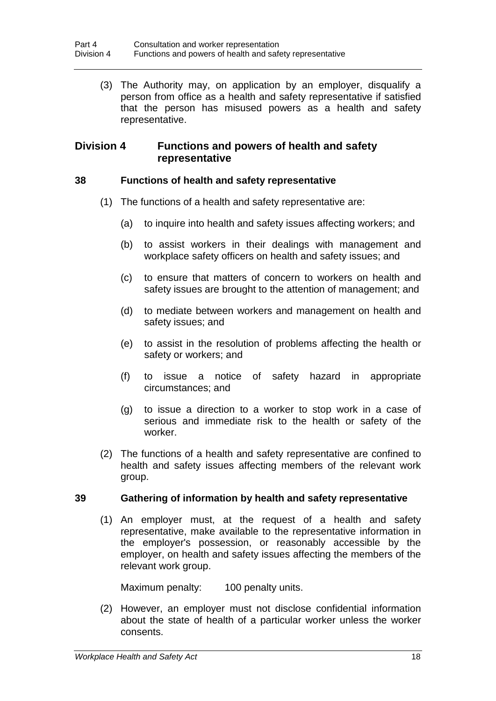(3) The Authority may, on application by an employer, disqualify a person from office as a health and safety representative if satisfied that the person has misused powers as a health and safety representative.

## **Division 4 Functions and powers of health and safety representative**

## **38 Functions of health and safety representative**

- (1) The functions of a health and safety representative are:
	- (a) to inquire into health and safety issues affecting workers; and
	- (b) to assist workers in their dealings with management and workplace safety officers on health and safety issues; and
	- (c) to ensure that matters of concern to workers on health and safety issues are brought to the attention of management; and
	- (d) to mediate between workers and management on health and safety issues; and
	- (e) to assist in the resolution of problems affecting the health or safety or workers; and
	- (f) to issue a notice of safety hazard in appropriate circumstances; and
	- (g) to issue a direction to a worker to stop work in a case of serious and immediate risk to the health or safety of the worker.
- (2) The functions of a health and safety representative are confined to health and safety issues affecting members of the relevant work group.

## **39 Gathering of information by health and safety representative**

(1) An employer must, at the request of a health and safety representative, make available to the representative information in the employer's possession, or reasonably accessible by the employer, on health and safety issues affecting the members of the relevant work group.

Maximum penalty: 100 penalty units.

(2) However, an employer must not disclose confidential information about the state of health of a particular worker unless the worker consents.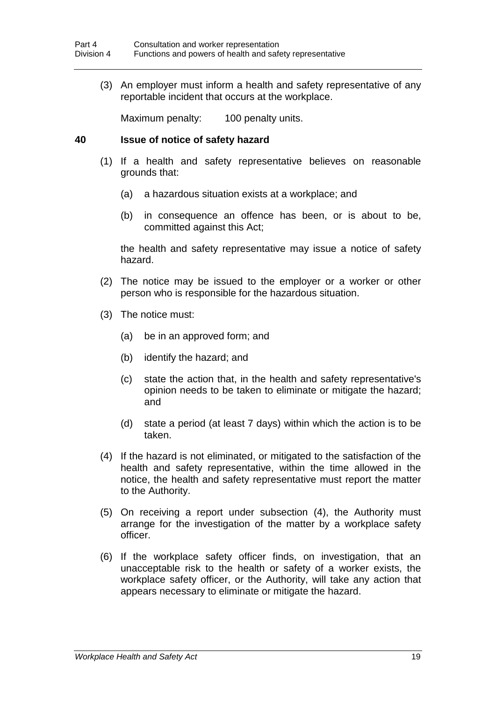(3) An employer must inform a health and safety representative of any reportable incident that occurs at the workplace.

Maximum penalty: 100 penalty units.

### **40 Issue of notice of safety hazard**

- (1) If a health and safety representative believes on reasonable grounds that:
	- (a) a hazardous situation exists at a workplace; and
	- (b) in consequence an offence has been, or is about to be, committed against this Act;

the health and safety representative may issue a notice of safety hazard.

- (2) The notice may be issued to the employer or a worker or other person who is responsible for the hazardous situation.
- (3) The notice must:
	- (a) be in an approved form; and
	- (b) identify the hazard; and
	- (c) state the action that, in the health and safety representative's opinion needs to be taken to eliminate or mitigate the hazard; and
	- (d) state a period (at least 7 days) within which the action is to be taken.
- (4) If the hazard is not eliminated, or mitigated to the satisfaction of the health and safety representative, within the time allowed in the notice, the health and safety representative must report the matter to the Authority.
- (5) On receiving a report under subsection (4), the Authority must arrange for the investigation of the matter by a workplace safety officer.
- (6) If the workplace safety officer finds, on investigation, that an unacceptable risk to the health or safety of a worker exists, the workplace safety officer, or the Authority, will take any action that appears necessary to eliminate or mitigate the hazard.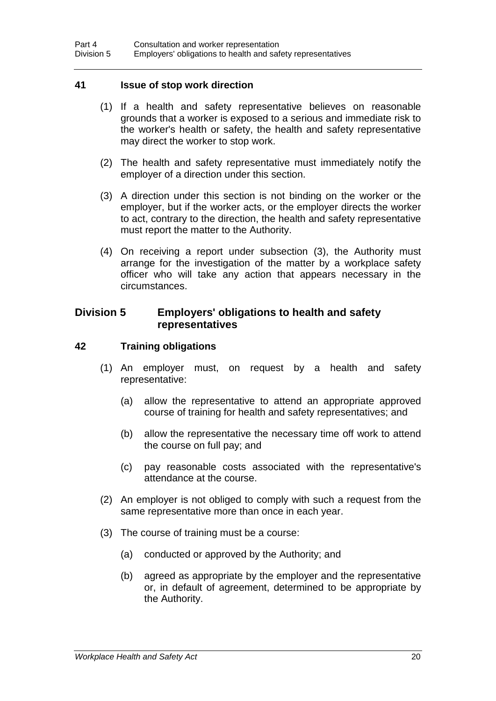### **41 Issue of stop work direction**

- (1) If a health and safety representative believes on reasonable grounds that a worker is exposed to a serious and immediate risk to the worker's health or safety, the health and safety representative may direct the worker to stop work.
- (2) The health and safety representative must immediately notify the employer of a direction under this section.
- (3) A direction under this section is not binding on the worker or the employer, but if the worker acts, or the employer directs the worker to act, contrary to the direction, the health and safety representative must report the matter to the Authority.
- (4) On receiving a report under subsection (3), the Authority must arrange for the investigation of the matter by a workplace safety officer who will take any action that appears necessary in the circumstances.

## **Division 5 Employers' obligations to health and safety representatives**

### **42 Training obligations**

- (1) An employer must, on request by a health and safety representative:
	- (a) allow the representative to attend an appropriate approved course of training for health and safety representatives; and
	- (b) allow the representative the necessary time off work to attend the course on full pay; and
	- (c) pay reasonable costs associated with the representative's attendance at the course.
- (2) An employer is not obliged to comply with such a request from the same representative more than once in each year.
- (3) The course of training must be a course:
	- (a) conducted or approved by the Authority; and
	- (b) agreed as appropriate by the employer and the representative or, in default of agreement, determined to be appropriate by the Authority.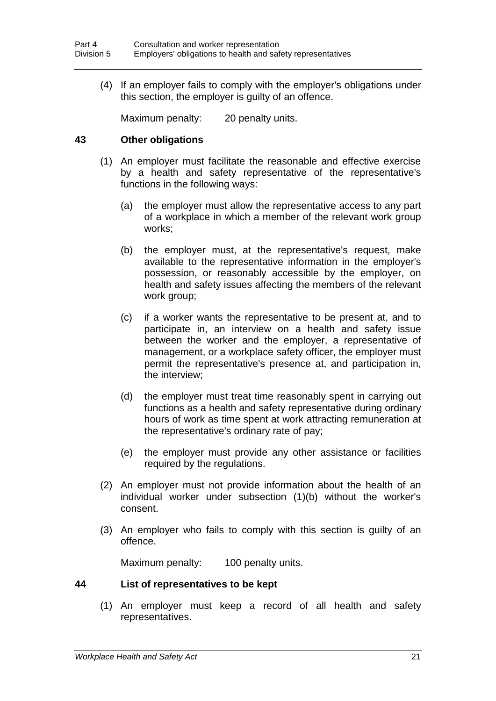(4) If an employer fails to comply with the employer's obligations under this section, the employer is guilty of an offence.

Maximum penalty: 20 penalty units.

### **43 Other obligations**

- (1) An employer must facilitate the reasonable and effective exercise by a health and safety representative of the representative's functions in the following ways:
	- (a) the employer must allow the representative access to any part of a workplace in which a member of the relevant work group works;
	- (b) the employer must, at the representative's request, make available to the representative information in the employer's possession, or reasonably accessible by the employer, on health and safety issues affecting the members of the relevant work group;
	- (c) if a worker wants the representative to be present at, and to participate in, an interview on a health and safety issue between the worker and the employer, a representative of management, or a workplace safety officer, the employer must permit the representative's presence at, and participation in, the interview;
	- (d) the employer must treat time reasonably spent in carrying out functions as a health and safety representative during ordinary hours of work as time spent at work attracting remuneration at the representative's ordinary rate of pay;
	- (e) the employer must provide any other assistance or facilities required by the regulations.
- (2) An employer must not provide information about the health of an individual worker under subsection (1)(b) without the worker's consent.
- (3) An employer who fails to comply with this section is guilty of an offence.

Maximum penalty: 100 penalty units.

## **44 List of representatives to be kept**

(1) An employer must keep a record of all health and safety representatives.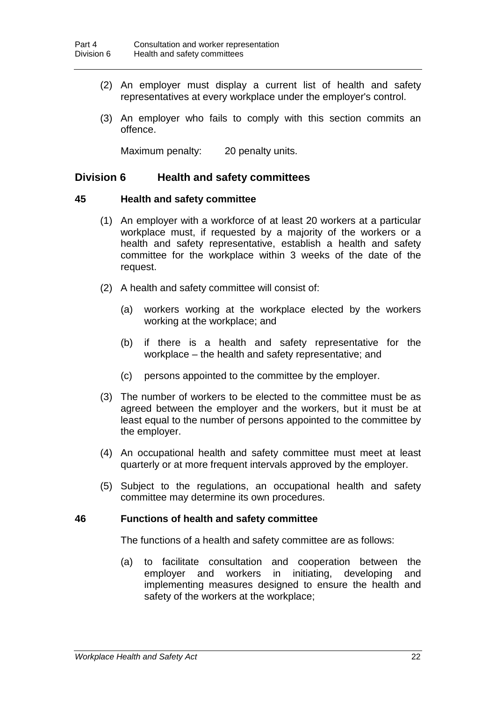- (2) An employer must display a current list of health and safety representatives at every workplace under the employer's control.
- (3) An employer who fails to comply with this section commits an offence.

Maximum penalty: 20 penalty units.

### **Division 6 Health and safety committees**

#### **45 Health and safety committee**

- (1) An employer with a workforce of at least 20 workers at a particular workplace must, if requested by a majority of the workers or a health and safety representative, establish a health and safety committee for the workplace within 3 weeks of the date of the request.
- (2) A health and safety committee will consist of:
	- (a) workers working at the workplace elected by the workers working at the workplace; and
	- (b) if there is a health and safety representative for the workplace – the health and safety representative; and
	- (c) persons appointed to the committee by the employer.
- (3) The number of workers to be elected to the committee must be as agreed between the employer and the workers, but it must be at least equal to the number of persons appointed to the committee by the employer.
- (4) An occupational health and safety committee must meet at least quarterly or at more frequent intervals approved by the employer.
- (5) Subject to the regulations, an occupational health and safety committee may determine its own procedures.

#### **46 Functions of health and safety committee**

The functions of a health and safety committee are as follows:

(a) to facilitate consultation and cooperation between the employer and workers in initiating, developing and implementing measures designed to ensure the health and safety of the workers at the workplace;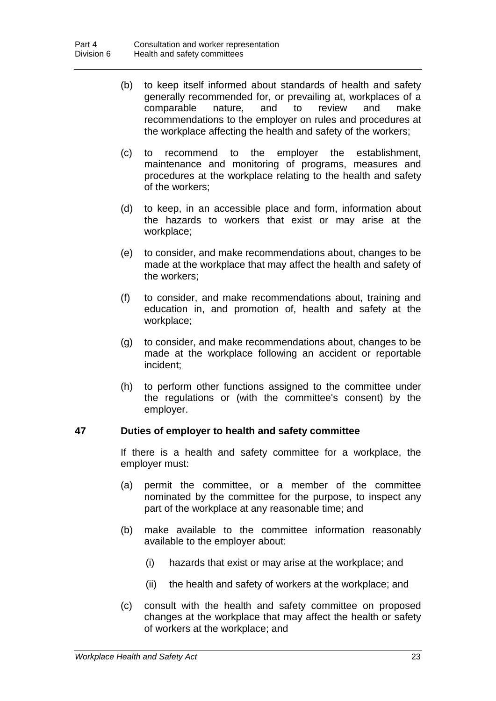- (b) to keep itself informed about standards of health and safety generally recommended for, or prevailing at, workplaces of a comparable nature, and to review and make recommendations to the employer on rules and procedures at the workplace affecting the health and safety of the workers;
- (c) to recommend to the employer the establishment, maintenance and monitoring of programs, measures and procedures at the workplace relating to the health and safety of the workers;
- (d) to keep, in an accessible place and form, information about the hazards to workers that exist or may arise at the workplace;
- (e) to consider, and make recommendations about, changes to be made at the workplace that may affect the health and safety of the workers;
- (f) to consider, and make recommendations about, training and education in, and promotion of, health and safety at the workplace;
- (g) to consider, and make recommendations about, changes to be made at the workplace following an accident or reportable incident;
- (h) to perform other functions assigned to the committee under the regulations or (with the committee's consent) by the employer.

## **47 Duties of employer to health and safety committee**

If there is a health and safety committee for a workplace, the employer must:

- (a) permit the committee, or a member of the committee nominated by the committee for the purpose, to inspect any part of the workplace at any reasonable time; and
- (b) make available to the committee information reasonably available to the employer about:
	- (i) hazards that exist or may arise at the workplace; and
	- (ii) the health and safety of workers at the workplace; and
- (c) consult with the health and safety committee on proposed changes at the workplace that may affect the health or safety of workers at the workplace; and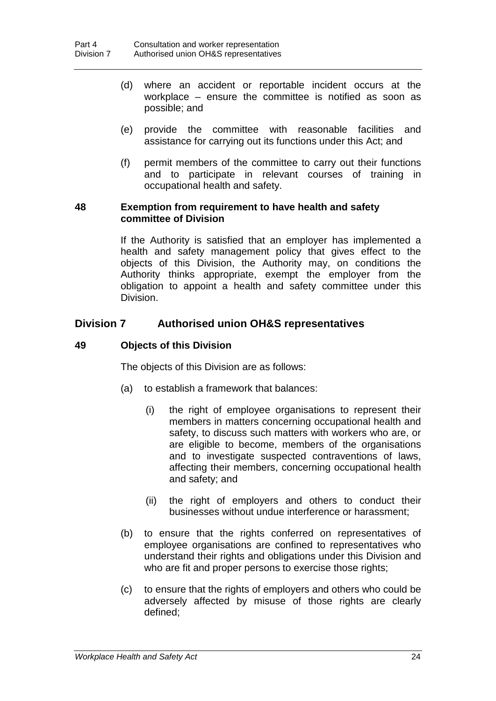- (d) where an accident or reportable incident occurs at the workplace – ensure the committee is notified as soon as possible; and
- (e) provide the committee with reasonable facilities and assistance for carrying out its functions under this Act; and
- (f) permit members of the committee to carry out their functions and to participate in relevant courses of training in occupational health and safety.

### **48 Exemption from requirement to have health and safety committee of Division**

If the Authority is satisfied that an employer has implemented a health and safety management policy that gives effect to the objects of this Division, the Authority may, on conditions the Authority thinks appropriate, exempt the employer from the obligation to appoint a health and safety committee under this Division.

## **Division 7 Authorised union OH&S representatives**

## **49 Objects of this Division**

The objects of this Division are as follows:

- (a) to establish a framework that balances:
	- (i) the right of employee organisations to represent their members in matters concerning occupational health and safety, to discuss such matters with workers who are, or are eligible to become, members of the organisations and to investigate suspected contraventions of laws, affecting their members, concerning occupational health and safety; and
	- (ii) the right of employers and others to conduct their businesses without undue interference or harassment;
- (b) to ensure that the rights conferred on representatives of employee organisations are confined to representatives who understand their rights and obligations under this Division and who are fit and proper persons to exercise those rights:
- (c) to ensure that the rights of employers and others who could be adversely affected by misuse of those rights are clearly defined;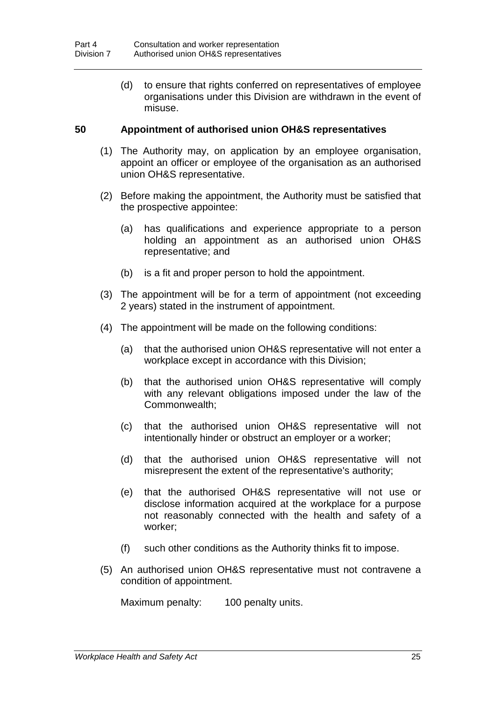(d) to ensure that rights conferred on representatives of employee organisations under this Division are withdrawn in the event of misuse.

### **50 Appointment of authorised union OH&S representatives**

- (1) The Authority may, on application by an employee organisation, appoint an officer or employee of the organisation as an authorised union OH&S representative.
- (2) Before making the appointment, the Authority must be satisfied that the prospective appointee:
	- (a) has qualifications and experience appropriate to a person holding an appointment as an authorised union OH&S representative; and
	- (b) is a fit and proper person to hold the appointment.
- (3) The appointment will be for a term of appointment (not exceeding 2 years) stated in the instrument of appointment.
- (4) The appointment will be made on the following conditions:
	- (a) that the authorised union OH&S representative will not enter a workplace except in accordance with this Division;
	- (b) that the authorised union OH&S representative will comply with any relevant obligations imposed under the law of the Commonwealth;
	- (c) that the authorised union OH&S representative will not intentionally hinder or obstruct an employer or a worker;
	- (d) that the authorised union OH&S representative will not misrepresent the extent of the representative's authority;
	- (e) that the authorised OH&S representative will not use or disclose information acquired at the workplace for a purpose not reasonably connected with the health and safety of a worker;
	- (f) such other conditions as the Authority thinks fit to impose.
- (5) An authorised union OH&S representative must not contravene a condition of appointment.

Maximum penalty: 100 penalty units.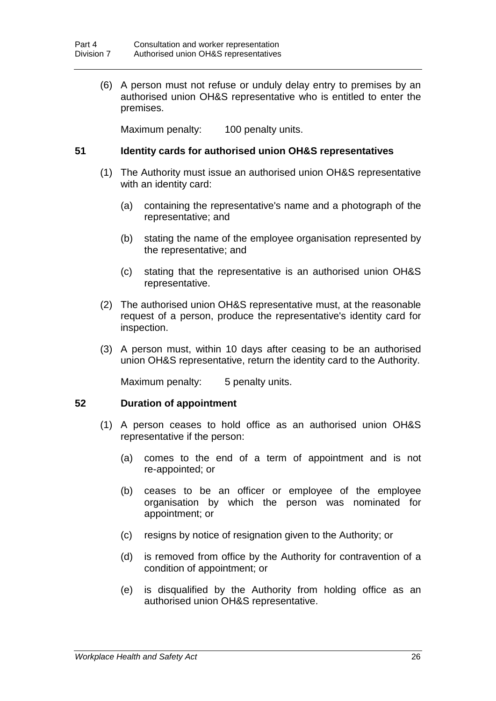(6) A person must not refuse or unduly delay entry to premises by an authorised union OH&S representative who is entitled to enter the premises.

Maximum penalty: 100 penalty units.

### **51 Identity cards for authorised union OH&S representatives**

- (1) The Authority must issue an authorised union OH&S representative with an identity card:
	- (a) containing the representative's name and a photograph of the representative; and
	- (b) stating the name of the employee organisation represented by the representative; and
	- (c) stating that the representative is an authorised union OH&S representative.
- (2) The authorised union OH&S representative must, at the reasonable request of a person, produce the representative's identity card for inspection.
- (3) A person must, within 10 days after ceasing to be an authorised union OH&S representative, return the identity card to the Authority.

Maximum penalty: 5 penalty units.

#### **52 Duration of appointment**

- (1) A person ceases to hold office as an authorised union OH&S representative if the person:
	- (a) comes to the end of a term of appointment and is not re-appointed; or
	- (b) ceases to be an officer or employee of the employee organisation by which the person was nominated for appointment; or
	- (c) resigns by notice of resignation given to the Authority; or
	- (d) is removed from office by the Authority for contravention of a condition of appointment; or
	- (e) is disqualified by the Authority from holding office as an authorised union OH&S representative.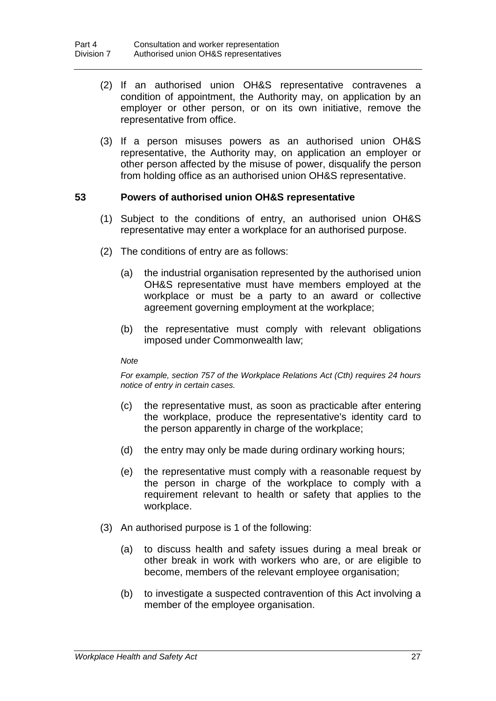- (2) If an authorised union OH&S representative contravenes a condition of appointment, the Authority may, on application by an employer or other person, or on its own initiative, remove the representative from office.
- (3) If a person misuses powers as an authorised union OH&S representative, the Authority may, on application an employer or other person affected by the misuse of power, disqualify the person from holding office as an authorised union OH&S representative.

## **53 Powers of authorised union OH&S representative**

- (1) Subject to the conditions of entry, an authorised union OH&S representative may enter a workplace for an authorised purpose.
- (2) The conditions of entry are as follows:
	- (a) the industrial organisation represented by the authorised union OH&S representative must have members employed at the workplace or must be a party to an award or collective agreement governing employment at the workplace;
	- (b) the representative must comply with relevant obligations imposed under Commonwealth law;

#### *Note*

*For example, section 757 of the Workplace Relations Act (Cth) requires 24 hours notice of entry in certain cases.*

- (c) the representative must, as soon as practicable after entering the workplace, produce the representative's identity card to the person apparently in charge of the workplace;
- (d) the entry may only be made during ordinary working hours;
- (e) the representative must comply with a reasonable request by the person in charge of the workplace to comply with a requirement relevant to health or safety that applies to the workplace.
- (3) An authorised purpose is 1 of the following:
	- (a) to discuss health and safety issues during a meal break or other break in work with workers who are, or are eligible to become, members of the relevant employee organisation;
	- (b) to investigate a suspected contravention of this Act involving a member of the employee organisation.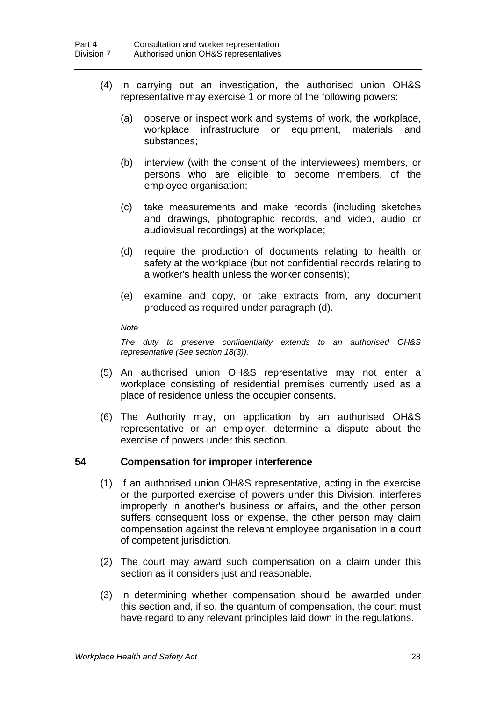- (4) In carrying out an investigation, the authorised union OH&S representative may exercise 1 or more of the following powers:
	- (a) observe or inspect work and systems of work, the workplace, workplace infrastructure or equipment, materials and substances;
	- (b) interview (with the consent of the interviewees) members, or persons who are eligible to become members, of the employee organisation;
	- (c) take measurements and make records (including sketches and drawings, photographic records, and video, audio or audiovisual recordings) at the workplace;
	- (d) require the production of documents relating to health or safety at the workplace (but not confidential records relating to a worker's health unless the worker consents);
	- (e) examine and copy, or take extracts from, any document produced as required under paragraph (d).

*Note*

*The duty to preserve confidentiality extends to an authorised OH&S representative (See section 18(3)).*

- (5) An authorised union OH&S representative may not enter a workplace consisting of residential premises currently used as a place of residence unless the occupier consents.
- (6) The Authority may, on application by an authorised OH&S representative or an employer, determine a dispute about the exercise of powers under this section.

## **54 Compensation for improper interference**

- (1) If an authorised union OH&S representative, acting in the exercise or the purported exercise of powers under this Division, interferes improperly in another's business or affairs, and the other person suffers consequent loss or expense, the other person may claim compensation against the relevant employee organisation in a court of competent jurisdiction.
- (2) The court may award such compensation on a claim under this section as it considers just and reasonable.
- (3) In determining whether compensation should be awarded under this section and, if so, the quantum of compensation, the court must have regard to any relevant principles laid down in the regulations.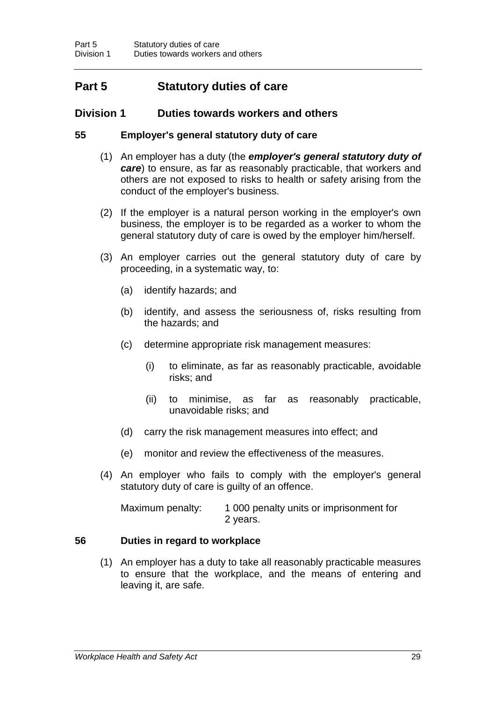## **Part 5 Statutory duties of care**

## **Division 1 Duties towards workers and others**

## **55 Employer's general statutory duty of care**

- (1) An employer has a duty (the *employer's general statutory duty of care*) to ensure, as far as reasonably practicable, that workers and others are not exposed to risks to health or safety arising from the conduct of the employer's business.
- (2) If the employer is a natural person working in the employer's own business, the employer is to be regarded as a worker to whom the general statutory duty of care is owed by the employer him/herself.
- (3) An employer carries out the general statutory duty of care by proceeding, in a systematic way, to:
	- (a) identify hazards; and
	- (b) identify, and assess the seriousness of, risks resulting from the hazards; and
	- (c) determine appropriate risk management measures:
		- (i) to eliminate, as far as reasonably practicable, avoidable risks; and
		- (ii) to minimise, as far as reasonably practicable, unavoidable risks; and
	- (d) carry the risk management measures into effect; and
	- (e) monitor and review the effectiveness of the measures.
- (4) An employer who fails to comply with the employer's general statutory duty of care is guilty of an offence.

Maximum penalty: 1 000 penalty units or imprisonment for 2 years.

## **56 Duties in regard to workplace**

(1) An employer has a duty to take all reasonably practicable measures to ensure that the workplace, and the means of entering and leaving it, are safe.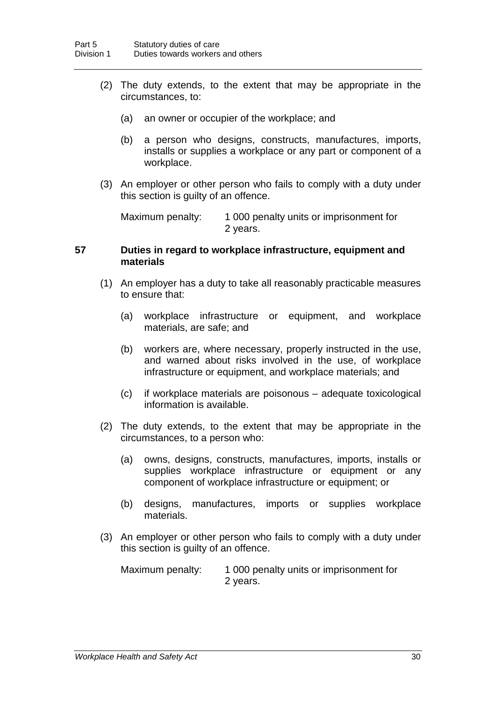- (2) The duty extends, to the extent that may be appropriate in the circumstances, to:
	- (a) an owner or occupier of the workplace; and
	- (b) a person who designs, constructs, manufactures, imports, installs or supplies a workplace or any part or component of a workplace.
- (3) An employer or other person who fails to comply with a duty under this section is guilty of an offence.

Maximum penalty: 1 000 penalty units or imprisonment for 2 years.

### **57 Duties in regard to workplace infrastructure, equipment and materials**

- (1) An employer has a duty to take all reasonably practicable measures to ensure that:
	- (a) workplace infrastructure or equipment, and workplace materials, are safe; and
	- (b) workers are, where necessary, properly instructed in the use, and warned about risks involved in the use, of workplace infrastructure or equipment, and workplace materials; and
	- (c) if workplace materials are poisonous adequate toxicological information is available.
- (2) The duty extends, to the extent that may be appropriate in the circumstances, to a person who:
	- (a) owns, designs, constructs, manufactures, imports, installs or supplies workplace infrastructure or equipment or any component of workplace infrastructure or equipment; or
	- (b) designs, manufactures, imports or supplies workplace materials.
- (3) An employer or other person who fails to comply with a duty under this section is guilty of an offence.

Maximum penalty: 1 000 penalty units or imprisonment for 2 years.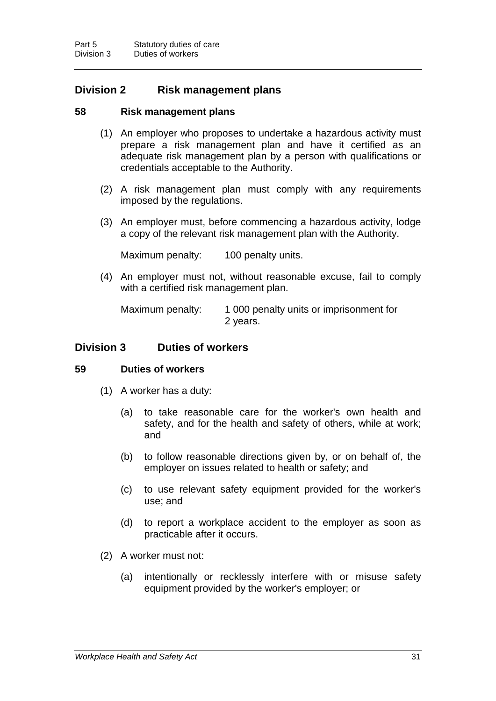## **Division 2 Risk management plans**

## **58 Risk management plans**

- (1) An employer who proposes to undertake a hazardous activity must prepare a risk management plan and have it certified as an adequate risk management plan by a person with qualifications or credentials acceptable to the Authority.
- (2) A risk management plan must comply with any requirements imposed by the regulations.
- (3) An employer must, before commencing a hazardous activity, lodge a copy of the relevant risk management plan with the Authority.

Maximum penalty: 100 penalty units.

(4) An employer must not, without reasonable excuse, fail to comply with a certified risk management plan.

Maximum penalty: 1 000 penalty units or imprisonment for 2 years.

## **Division 3 Duties of workers**

## **59 Duties of workers**

- (1) A worker has a duty:
	- (a) to take reasonable care for the worker's own health and safety, and for the health and safety of others, while at work; and
	- (b) to follow reasonable directions given by, or on behalf of, the employer on issues related to health or safety; and
	- (c) to use relevant safety equipment provided for the worker's use; and
	- (d) to report a workplace accident to the employer as soon as practicable after it occurs.
- (2) A worker must not:
	- (a) intentionally or recklessly interfere with or misuse safety equipment provided by the worker's employer; or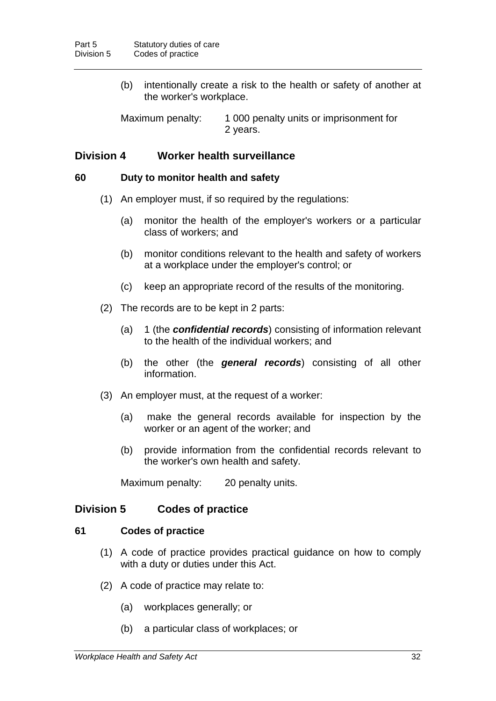(b) intentionally create a risk to the health or safety of another at the worker's workplace.

Maximum penalty: 1 000 penalty units or imprisonment for 2 years.

## **Division 4 Worker health surveillance**

#### **60 Duty to monitor health and safety**

- (1) An employer must, if so required by the regulations:
	- (a) monitor the health of the employer's workers or a particular class of workers; and
	- (b) monitor conditions relevant to the health and safety of workers at a workplace under the employer's control; or
	- (c) keep an appropriate record of the results of the monitoring.
- (2) The records are to be kept in 2 parts:
	- (a) 1 (the *confidential records*) consisting of information relevant to the health of the individual workers; and
	- (b) the other (the *general records*) consisting of all other information.
- (3) An employer must, at the request of a worker:
	- (a) make the general records available for inspection by the worker or an agent of the worker; and
	- (b) provide information from the confidential records relevant to the worker's own health and safety.

Maximum penalty: 20 penalty units.

### **Division 5 Codes of practice**

#### **61 Codes of practice**

- (1) A code of practice provides practical guidance on how to comply with a duty or duties under this Act.
- (2) A code of practice may relate to:
	- (a) workplaces generally; or
	- (b) a particular class of workplaces; or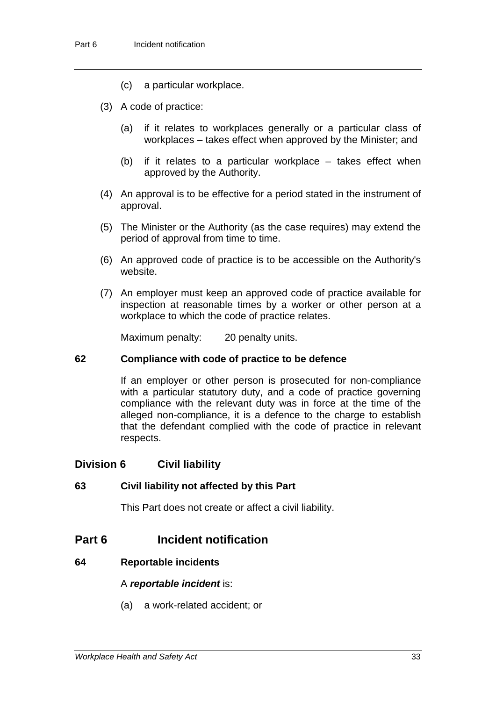- (c) a particular workplace.
- (3) A code of practice:
	- (a) if it relates to workplaces generally or a particular class of workplaces – takes effect when approved by the Minister; and
	- (b) if it relates to a particular workplace takes effect when approved by the Authority.
- (4) An approval is to be effective for a period stated in the instrument of approval.
- (5) The Minister or the Authority (as the case requires) may extend the period of approval from time to time.
- (6) An approved code of practice is to be accessible on the Authority's website.
- (7) An employer must keep an approved code of practice available for inspection at reasonable times by a worker or other person at a workplace to which the code of practice relates.

Maximum penalty: 20 penalty units.

## **62 Compliance with code of practice to be defence**

If an employer or other person is prosecuted for non-compliance with a particular statutory duty, and a code of practice governing compliance with the relevant duty was in force at the time of the alleged non-compliance, it is a defence to the charge to establish that the defendant complied with the code of practice in relevant respects.

## **Division 6 Civil liability**

## **63 Civil liability not affected by this Part**

This Part does not create or affect a civil liability.

## **Part 6 Incident notification**

## **64 Reportable incidents**

## A *reportable incident* is:

(a) a work-related accident; or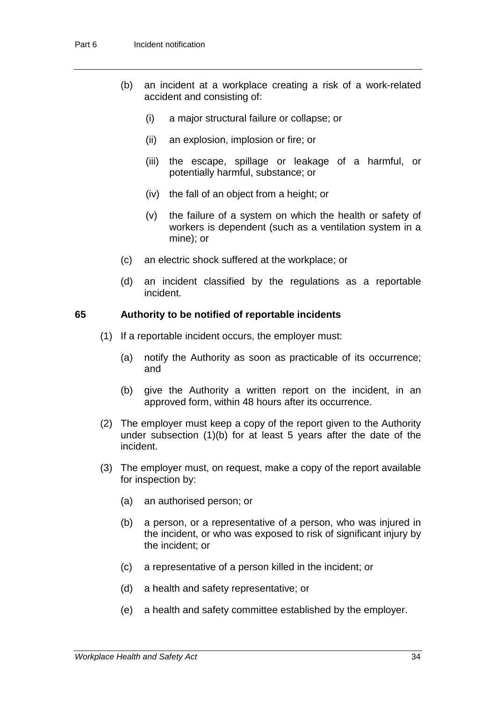- (b) an incident at a workplace creating a risk of a work-related accident and consisting of:
	- (i) a major structural failure or collapse; or
	- (ii) an explosion, implosion or fire; or
	- (iii) the escape, spillage or leakage of a harmful, or potentially harmful, substance; or
	- (iv) the fall of an object from a height; or
	- (v) the failure of a system on which the health or safety of workers is dependent (such as a ventilation system in a mine); or
- (c) an electric shock suffered at the workplace; or
- (d) an incident classified by the regulations as a reportable incident.

### **65 Authority to be notified of reportable incidents**

- (1) If a reportable incident occurs, the employer must:
	- (a) notify the Authority as soon as practicable of its occurrence; and
	- (b) give the Authority a written report on the incident, in an approved form, within 48 hours after its occurrence.
- (2) The employer must keep a copy of the report given to the Authority under subsection (1)(b) for at least 5 years after the date of the incident.
- (3) The employer must, on request, make a copy of the report available for inspection by:
	- (a) an authorised person; or
	- (b) a person, or a representative of a person, who was injured in the incident, or who was exposed to risk of significant injury by the incident; or
	- (c) a representative of a person killed in the incident; or
	- (d) a health and safety representative; or
	- (e) a health and safety committee established by the employer.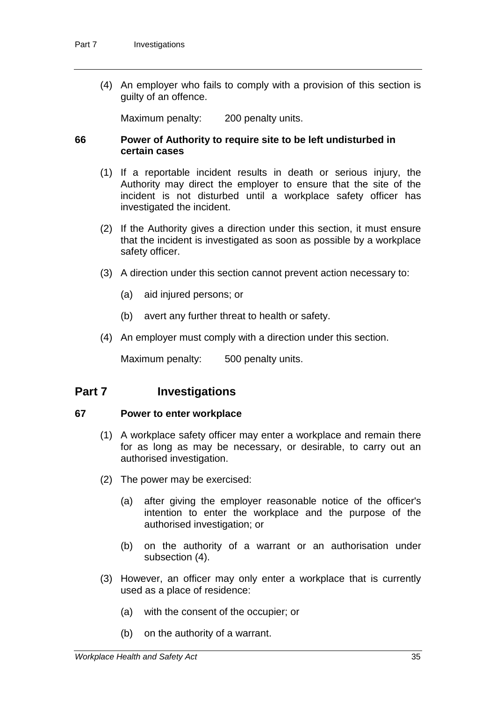(4) An employer who fails to comply with a provision of this section is guilty of an offence.

Maximum penalty: 200 penalty units.

## **66 Power of Authority to require site to be left undisturbed in certain cases**

- (1) If a reportable incident results in death or serious injury, the Authority may direct the employer to ensure that the site of the incident is not disturbed until a workplace safety officer has investigated the incident.
- (2) If the Authority gives a direction under this section, it must ensure that the incident is investigated as soon as possible by a workplace safety officer.
- (3) A direction under this section cannot prevent action necessary to:
	- (a) aid injured persons; or
	- (b) avert any further threat to health or safety.
- (4) An employer must comply with a direction under this section.

Maximum penalty: 500 penalty units.

## **Part 7 Investigations**

#### **67 Power to enter workplace**

- (1) A workplace safety officer may enter a workplace and remain there for as long as may be necessary, or desirable, to carry out an authorised investigation.
- (2) The power may be exercised:
	- (a) after giving the employer reasonable notice of the officer's intention to enter the workplace and the purpose of the authorised investigation; or
	- (b) on the authority of a warrant or an authorisation under subsection (4).
- (3) However, an officer may only enter a workplace that is currently used as a place of residence:
	- (a) with the consent of the occupier; or
	- (b) on the authority of a warrant.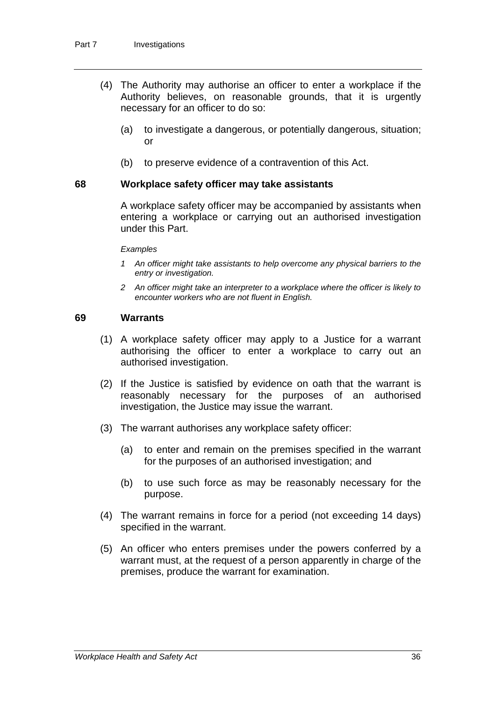- (4) The Authority may authorise an officer to enter a workplace if the Authority believes, on reasonable grounds, that it is urgently necessary for an officer to do so:
	- (a) to investigate a dangerous, or potentially dangerous, situation; or
	- (b) to preserve evidence of a contravention of this Act.

#### **68 Workplace safety officer may take assistants**

A workplace safety officer may be accompanied by assistants when entering a workplace or carrying out an authorised investigation under this Part.

*Examples*

- *1 An officer might take assistants to help overcome any physical barriers to the entry or investigation.*
- *2 An officer might take an interpreter to a workplace where the officer is likely to encounter workers who are not fluent in English.*

#### **69 Warrants**

- (1) A workplace safety officer may apply to a Justice for a warrant authorising the officer to enter a workplace to carry out an authorised investigation.
- (2) If the Justice is satisfied by evidence on oath that the warrant is reasonably necessary for the purposes of an authorised investigation, the Justice may issue the warrant.
- (3) The warrant authorises any workplace safety officer:
	- (a) to enter and remain on the premises specified in the warrant for the purposes of an authorised investigation; and
	- (b) to use such force as may be reasonably necessary for the purpose.
- (4) The warrant remains in force for a period (not exceeding 14 days) specified in the warrant.
- (5) An officer who enters premises under the powers conferred by a warrant must, at the request of a person apparently in charge of the premises, produce the warrant for examination.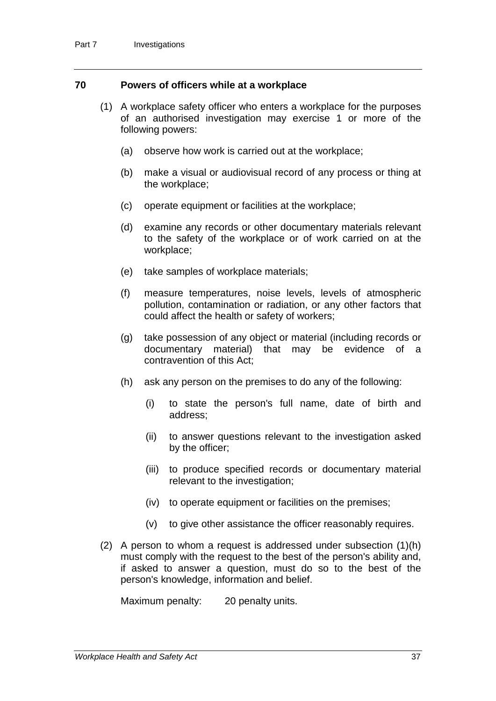### **70 Powers of officers while at a workplace**

- (1) A workplace safety officer who enters a workplace for the purposes of an authorised investigation may exercise 1 or more of the following powers:
	- (a) observe how work is carried out at the workplace;
	- (b) make a visual or audiovisual record of any process or thing at the workplace;
	- (c) operate equipment or facilities at the workplace;
	- (d) examine any records or other documentary materials relevant to the safety of the workplace or of work carried on at the workplace;
	- (e) take samples of workplace materials;
	- (f) measure temperatures, noise levels, levels of atmospheric pollution, contamination or radiation, or any other factors that could affect the health or safety of workers;
	- (g) take possession of any object or material (including records or documentary material) that may be evidence of a contravention of this Act;
	- (h) ask any person on the premises to do any of the following:
		- (i) to state the person's full name, date of birth and address;
		- (ii) to answer questions relevant to the investigation asked by the officer;
		- (iii) to produce specified records or documentary material relevant to the investigation;
		- (iv) to operate equipment or facilities on the premises;
		- (v) to give other assistance the officer reasonably requires.
- (2) A person to whom a request is addressed under subsection (1)(h) must comply with the request to the best of the person's ability and, if asked to answer a question, must do so to the best of the person's knowledge, information and belief.

Maximum penalty: 20 penalty units.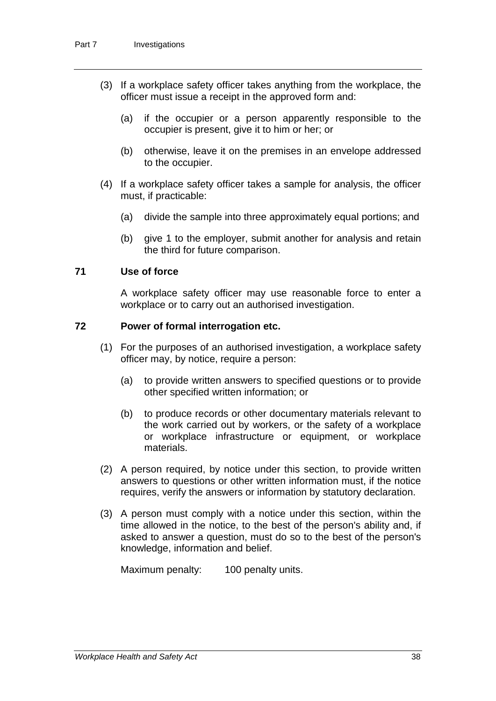- (3) If a workplace safety officer takes anything from the workplace, the officer must issue a receipt in the approved form and:
	- (a) if the occupier or a person apparently responsible to the occupier is present, give it to him or her; or
	- (b) otherwise, leave it on the premises in an envelope addressed to the occupier.
- (4) If a workplace safety officer takes a sample for analysis, the officer must, if practicable:
	- (a) divide the sample into three approximately equal portions; and
	- (b) give 1 to the employer, submit another for analysis and retain the third for future comparison.

### **71 Use of force**

A workplace safety officer may use reasonable force to enter a workplace or to carry out an authorised investigation.

## **72 Power of formal interrogation etc.**

- (1) For the purposes of an authorised investigation, a workplace safety officer may, by notice, require a person:
	- (a) to provide written answers to specified questions or to provide other specified written information; or
	- (b) to produce records or other documentary materials relevant to the work carried out by workers, or the safety of a workplace or workplace infrastructure or equipment, or workplace materials.
- (2) A person required, by notice under this section, to provide written answers to questions or other written information must, if the notice requires, verify the answers or information by statutory declaration.
- (3) A person must comply with a notice under this section, within the time allowed in the notice, to the best of the person's ability and, if asked to answer a question, must do so to the best of the person's knowledge, information and belief.

Maximum penalty: 100 penalty units.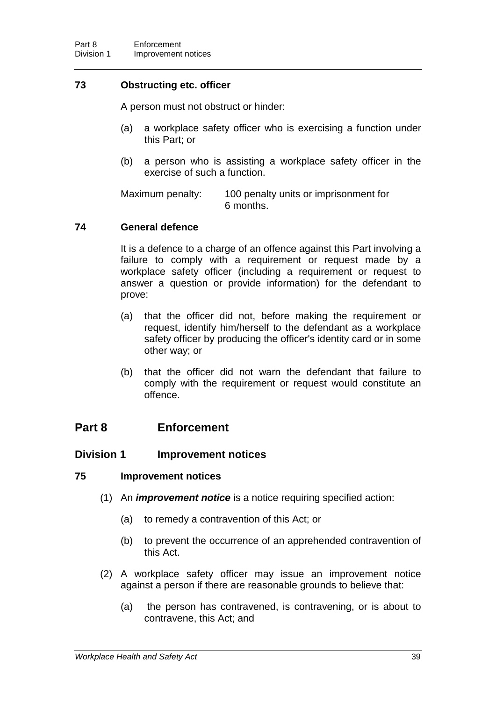## **73 Obstructing etc. officer**

A person must not obstruct or hinder:

- (a) a workplace safety officer who is exercising a function under this Part; or
- (b) a person who is assisting a workplace safety officer in the exercise of such a function.

Maximum penalty: 100 penalty units or imprisonment for 6 months.

## **74 General defence**

It is a defence to a charge of an offence against this Part involving a failure to comply with a requirement or request made by a workplace safety officer (including a requirement or request to answer a question or provide information) for the defendant to prove:

- (a) that the officer did not, before making the requirement or request, identify him/herself to the defendant as a workplace safety officer by producing the officer's identity card or in some other way; or
- (b) that the officer did not warn the defendant that failure to comply with the requirement or request would constitute an offence.

## **Part 8 Enforcement**

## **Division 1 Improvement notices**

## **75 Improvement notices**

- (1) An *improvement notice* is a notice requiring specified action:
	- (a) to remedy a contravention of this Act; or
	- (b) to prevent the occurrence of an apprehended contravention of this Act.
- (2) A workplace safety officer may issue an improvement notice against a person if there are reasonable grounds to believe that:
	- (a) the person has contravened, is contravening, or is about to contravene, this Act; and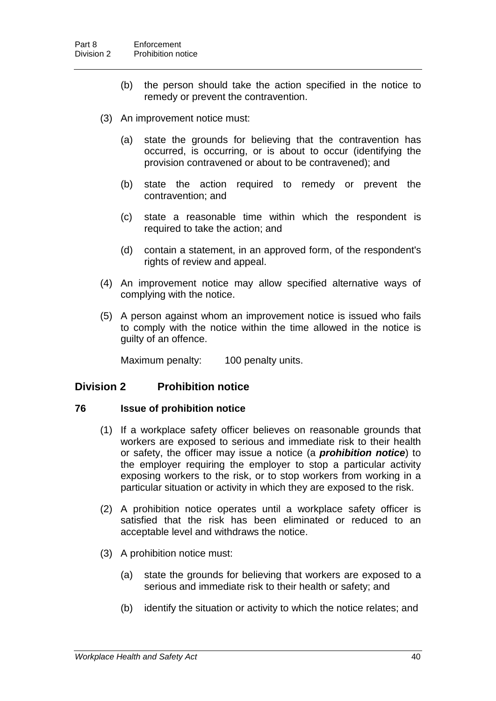- (b) the person should take the action specified in the notice to remedy or prevent the contravention.
- (3) An improvement notice must:
	- (a) state the grounds for believing that the contravention has occurred, is occurring, or is about to occur (identifying the provision contravened or about to be contravened); and
	- (b) state the action required to remedy or prevent the contravention; and
	- (c) state a reasonable time within which the respondent is required to take the action; and
	- (d) contain a statement, in an approved form, of the respondent's rights of review and appeal.
- (4) An improvement notice may allow specified alternative ways of complying with the notice.
- (5) A person against whom an improvement notice is issued who fails to comply with the notice within the time allowed in the notice is guilty of an offence.

Maximum penalty: 100 penalty units.

## **Division 2 Prohibition notice**

#### **76 Issue of prohibition notice**

- (1) If a workplace safety officer believes on reasonable grounds that workers are exposed to serious and immediate risk to their health or safety, the officer may issue a notice (a *prohibition notice*) to the employer requiring the employer to stop a particular activity exposing workers to the risk, or to stop workers from working in a particular situation or activity in which they are exposed to the risk.
- (2) A prohibition notice operates until a workplace safety officer is satisfied that the risk has been eliminated or reduced to an acceptable level and withdraws the notice.
- (3) A prohibition notice must:
	- (a) state the grounds for believing that workers are exposed to a serious and immediate risk to their health or safety; and
	- (b) identify the situation or activity to which the notice relates; and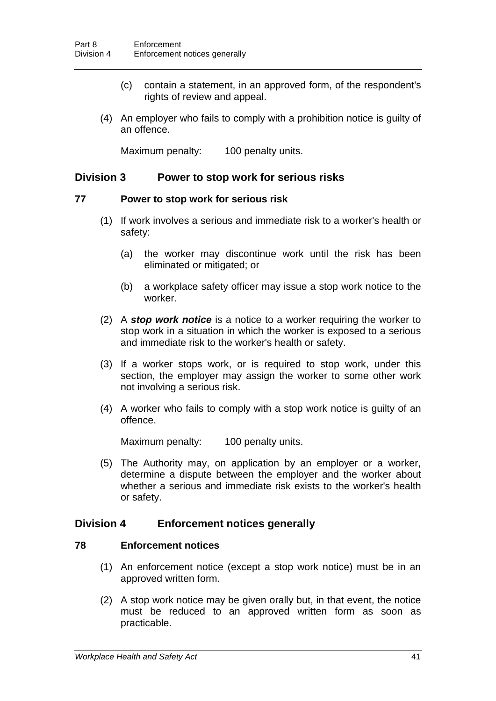- (c) contain a statement, in an approved form, of the respondent's rights of review and appeal.
- (4) An employer who fails to comply with a prohibition notice is guilty of an offence.

Maximum penalty: 100 penalty units.

## **Division 3 Power to stop work for serious risks**

#### **77 Power to stop work for serious risk**

- (1) If work involves a serious and immediate risk to a worker's health or safety:
	- (a) the worker may discontinue work until the risk has been eliminated or mitigated; or
	- (b) a workplace safety officer may issue a stop work notice to the worker.
- (2) A *stop work notice* is a notice to a worker requiring the worker to stop work in a situation in which the worker is exposed to a serious and immediate risk to the worker's health or safety.
- (3) If a worker stops work, or is required to stop work, under this section, the employer may assign the worker to some other work not involving a serious risk.
- (4) A worker who fails to comply with a stop work notice is guilty of an offence.

Maximum penalty: 100 penalty units.

(5) The Authority may, on application by an employer or a worker, determine a dispute between the employer and the worker about whether a serious and immediate risk exists to the worker's health or safety.

## **Division 4 Enforcement notices generally**

## **78 Enforcement notices**

- (1) An enforcement notice (except a stop work notice) must be in an approved written form.
- (2) A stop work notice may be given orally but, in that event, the notice must be reduced to an approved written form as soon as practicable.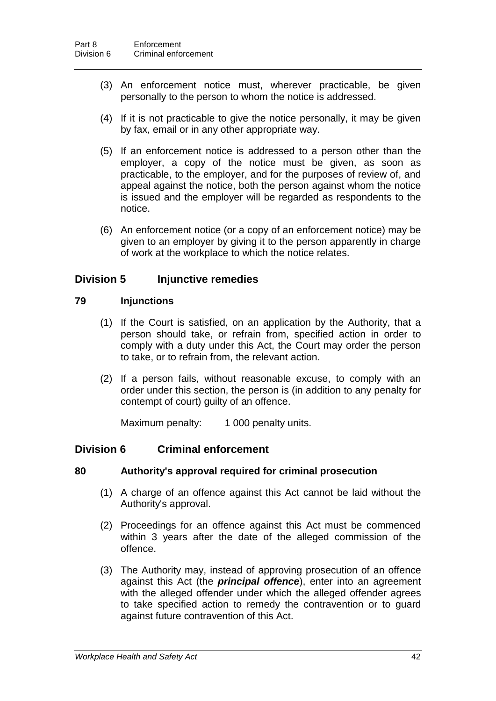- (3) An enforcement notice must, wherever practicable, be given personally to the person to whom the notice is addressed.
- (4) If it is not practicable to give the notice personally, it may be given by fax, email or in any other appropriate way.
- (5) If an enforcement notice is addressed to a person other than the employer, a copy of the notice must be given, as soon as practicable, to the employer, and for the purposes of review of, and appeal against the notice, both the person against whom the notice is issued and the employer will be regarded as respondents to the notice.
- (6) An enforcement notice (or a copy of an enforcement notice) may be given to an employer by giving it to the person apparently in charge of work at the workplace to which the notice relates.

## **Division 5 Injunctive remedies**

## **79 Injunctions**

- (1) If the Court is satisfied, on an application by the Authority, that a person should take, or refrain from, specified action in order to comply with a duty under this Act, the Court may order the person to take, or to refrain from, the relevant action.
- (2) If a person fails, without reasonable excuse, to comply with an order under this section, the person is (in addition to any penalty for contempt of court) guilty of an offence.

Maximum penalty: 1 000 penalty units.

## **Division 6 Criminal enforcement**

## **80 Authority's approval required for criminal prosecution**

- (1) A charge of an offence against this Act cannot be laid without the Authority's approval.
- (2) Proceedings for an offence against this Act must be commenced within 3 years after the date of the alleged commission of the offence.
- (3) The Authority may, instead of approving prosecution of an offence against this Act (the *principal offence*), enter into an agreement with the alleged offender under which the alleged offender agrees to take specified action to remedy the contravention or to guard against future contravention of this Act.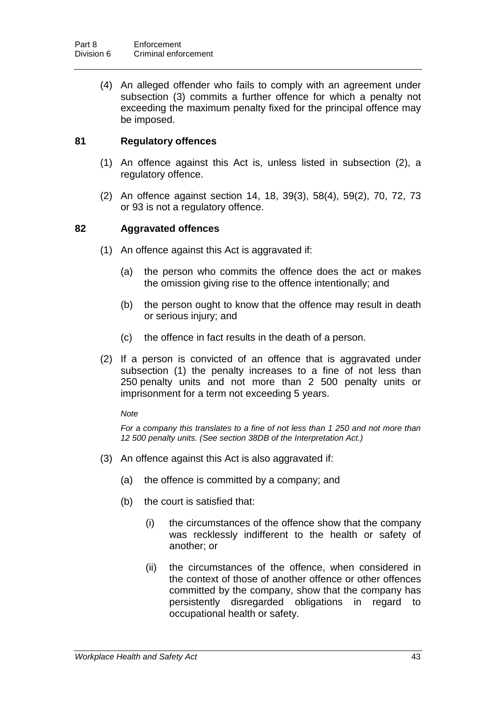(4) An alleged offender who fails to comply with an agreement under subsection (3) commits a further offence for which a penalty not exceeding the maximum penalty fixed for the principal offence may be imposed.

## **81 Regulatory offences**

- (1) An offence against this Act is, unless listed in subsection (2), a regulatory offence.
- (2) An offence against section 14, 18, 39(3), 58(4), 59(2), 70, 72, 73 or 93 is not a regulatory offence.

## **82 Aggravated offences**

- (1) An offence against this Act is aggravated if:
	- (a) the person who commits the offence does the act or makes the omission giving rise to the offence intentionally; and
	- (b) the person ought to know that the offence may result in death or serious injury; and
	- (c) the offence in fact results in the death of a person.
- (2) If a person is convicted of an offence that is aggravated under subsection (1) the penalty increases to a fine of not less than 250 penalty units and not more than 2 500 penalty units or imprisonment for a term not exceeding 5 years.

#### *Note*

*For a company this translates to a fine of not less than 1 250 and not more than 12 500 penalty units. (See section 38DB of the Interpretation Act.)*

- (3) An offence against this Act is also aggravated if:
	- (a) the offence is committed by a company; and
	- (b) the court is satisfied that:
		- (i) the circumstances of the offence show that the company was recklessly indifferent to the health or safety of another; or
		- (ii) the circumstances of the offence, when considered in the context of those of another offence or other offences committed by the company, show that the company has persistently disregarded obligations in regard to occupational health or safety.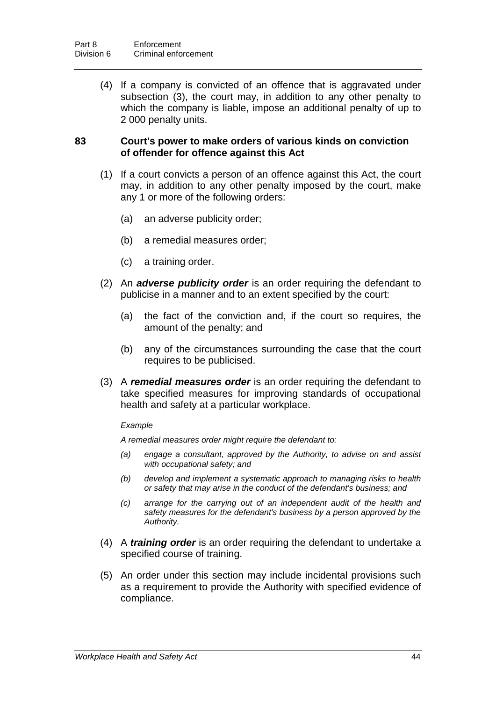(4) If a company is convicted of an offence that is aggravated under subsection (3), the court may, in addition to any other penalty to which the company is liable, impose an additional penalty of up to 2 000 penalty units.

### **83 Court's power to make orders of various kinds on conviction of offender for offence against this Act**

- (1) If a court convicts a person of an offence against this Act, the court may, in addition to any other penalty imposed by the court, make any 1 or more of the following orders:
	- (a) an adverse publicity order;
	- (b) a remedial measures order;
	- (c) a training order.
- (2) An *adverse publicity order* is an order requiring the defendant to publicise in a manner and to an extent specified by the court:
	- (a) the fact of the conviction and, if the court so requires, the amount of the penalty; and
	- (b) any of the circumstances surrounding the case that the court requires to be publicised.
- (3) A *remedial measures order* is an order requiring the defendant to take specified measures for improving standards of occupational health and safety at a particular workplace.

#### *Example*

*A remedial measures order might require the defendant to:*

- *(a) engage a consultant, approved by the Authority, to advise on and assist with occupational safety; and*
- *(b) develop and implement a systematic approach to managing risks to health or safety that may arise in the conduct of the defendant's business; and*
- *(c) arrange for the carrying out of an independent audit of the health and safety measures for the defendant's business by a person approved by the Authority.*
- (4) A *training order* is an order requiring the defendant to undertake a specified course of training.
- (5) An order under this section may include incidental provisions such as a requirement to provide the Authority with specified evidence of compliance.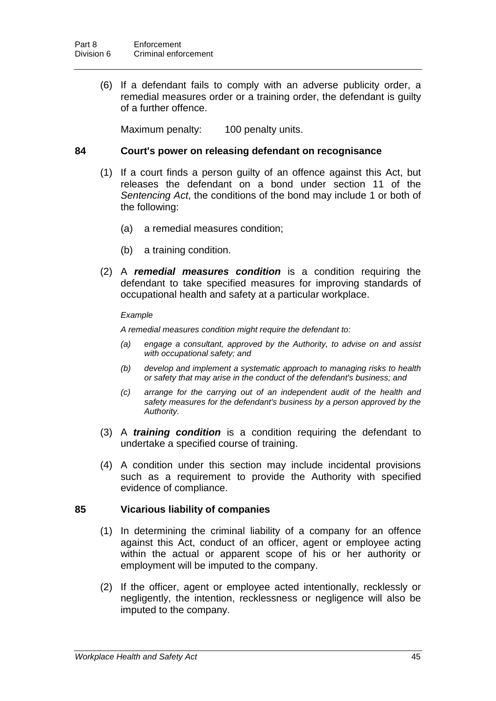(6) If a defendant fails to comply with an adverse publicity order, a remedial measures order or a training order, the defendant is guilty of a further offence.

Maximum penalty: 100 penalty units.

### **84 Court's power on releasing defendant on recognisance**

- (1) If a court finds a person guilty of an offence against this Act, but releases the defendant on a bond under section 11 of the *Sentencing Act*, the conditions of the bond may include 1 or both of the following:
	- (a) a remedial measures condition;
	- (b) a training condition.
- (2) A *remedial measures condition* is a condition requiring the defendant to take specified measures for improving standards of occupational health and safety at a particular workplace.

#### *Example*

*A remedial measures condition might require the defendant to:*

- *(a) engage a consultant, approved by the Authority, to advise on and assist with occupational safety; and*
- *(b) develop and implement a systematic approach to managing risks to health or safety that may arise in the conduct of the defendant's business; and*
- *(c) arrange for the carrying out of an independent audit of the health and safety measures for the defendant's business by a person approved by the Authority.*
- (3) A *training condition* is a condition requiring the defendant to undertake a specified course of training.
- (4) A condition under this section may include incidental provisions such as a requirement to provide the Authority with specified evidence of compliance.

## **85 Vicarious liability of companies**

- (1) In determining the criminal liability of a company for an offence against this Act, conduct of an officer, agent or employee acting within the actual or apparent scope of his or her authority or employment will be imputed to the company.
- (2) If the officer, agent or employee acted intentionally, recklessly or negligently, the intention, recklessness or negligence will also be imputed to the company.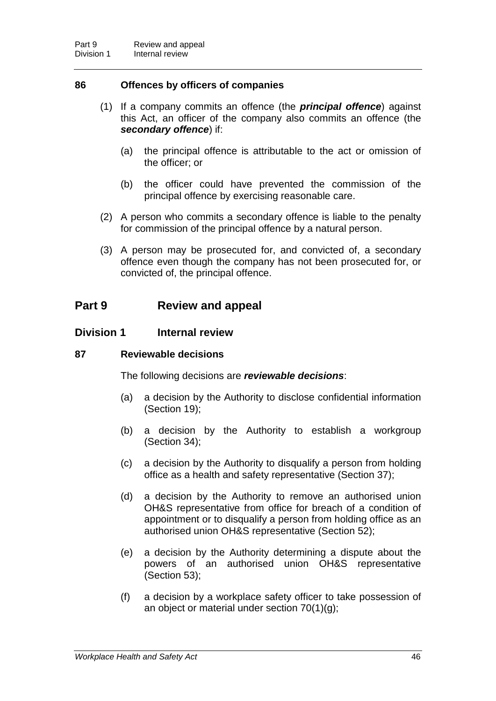## **86 Offences by officers of companies**

- (1) If a company commits an offence (the *principal offence*) against this Act, an officer of the company also commits an offence (the *secondary offence*) if:
	- (a) the principal offence is attributable to the act or omission of the officer; or
	- (b) the officer could have prevented the commission of the principal offence by exercising reasonable care.
- (2) A person who commits a secondary offence is liable to the penalty for commission of the principal offence by a natural person.
- (3) A person may be prosecuted for, and convicted of, a secondary offence even though the company has not been prosecuted for, or convicted of, the principal offence.

## **Part 9 Review and appeal**

## **Division 1 Internal review**

## **87 Reviewable decisions**

The following decisions are *reviewable decisions*:

- (a) a decision by the Authority to disclose confidential information (Section 19);
- (b) a decision by the Authority to establish a workgroup (Section 34);
- (c) a decision by the Authority to disqualify a person from holding office as a health and safety representative (Section 37);
- (d) a decision by the Authority to remove an authorised union OH&S representative from office for breach of a condition of appointment or to disqualify a person from holding office as an authorised union OH&S representative (Section 52);
- (e) a decision by the Authority determining a dispute about the powers of an authorised union OH&S representative (Section 53);
- (f) a decision by a workplace safety officer to take possession of an object or material under section 70(1)(g);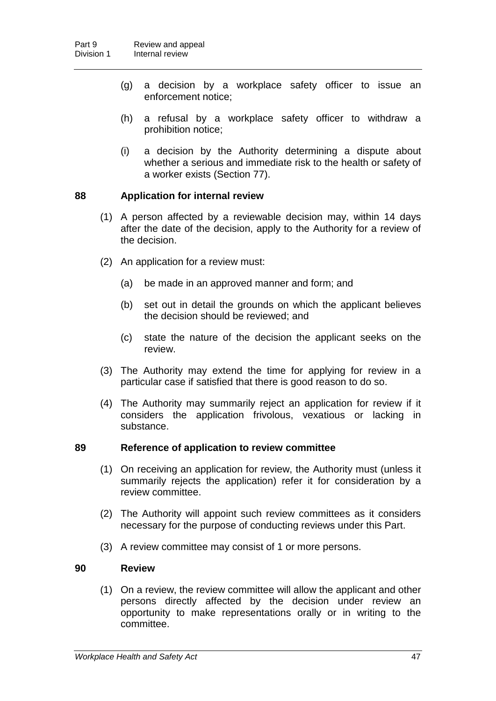- (g) a decision by a workplace safety officer to issue an enforcement notice;
- (h) a refusal by a workplace safety officer to withdraw a prohibition notice;
- (i) a decision by the Authority determining a dispute about whether a serious and immediate risk to the health or safety of a worker exists (Section 77).

## **88 Application for internal review**

- (1) A person affected by a reviewable decision may, within 14 days after the date of the decision, apply to the Authority for a review of the decision.
- (2) An application for a review must:
	- (a) be made in an approved manner and form; and
	- (b) set out in detail the grounds on which the applicant believes the decision should be reviewed; and
	- (c) state the nature of the decision the applicant seeks on the review.
- (3) The Authority may extend the time for applying for review in a particular case if satisfied that there is good reason to do so.
- (4) The Authority may summarily reject an application for review if it considers the application frivolous, vexatious or lacking in substance.

## **89 Reference of application to review committee**

- (1) On receiving an application for review, the Authority must (unless it summarily rejects the application) refer it for consideration by a review committee.
- (2) The Authority will appoint such review committees as it considers necessary for the purpose of conducting reviews under this Part.
- (3) A review committee may consist of 1 or more persons.

## **90 Review**

(1) On a review, the review committee will allow the applicant and other persons directly affected by the decision under review an opportunity to make representations orally or in writing to the committee.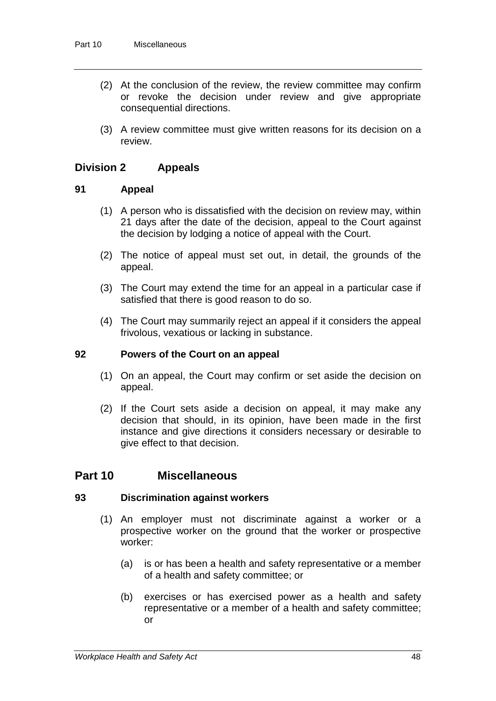- (2) At the conclusion of the review, the review committee may confirm or revoke the decision under review and give appropriate consequential directions.
- (3) A review committee must give written reasons for its decision on a review.

## **Division 2 Appeals**

### **91 Appeal**

- (1) A person who is dissatisfied with the decision on review may, within 21 days after the date of the decision, appeal to the Court against the decision by lodging a notice of appeal with the Court.
- (2) The notice of appeal must set out, in detail, the grounds of the appeal.
- (3) The Court may extend the time for an appeal in a particular case if satisfied that there is good reason to do so.
- (4) The Court may summarily reject an appeal if it considers the appeal frivolous, vexatious or lacking in substance.

#### **92 Powers of the Court on an appeal**

- (1) On an appeal, the Court may confirm or set aside the decision on appeal.
- (2) If the Court sets aside a decision on appeal, it may make any decision that should, in its opinion, have been made in the first instance and give directions it considers necessary or desirable to give effect to that decision.

## **Part 10 Miscellaneous**

#### **93 Discrimination against workers**

- (1) An employer must not discriminate against a worker or a prospective worker on the ground that the worker or prospective worker:
	- (a) is or has been a health and safety representative or a member of a health and safety committee; or
	- (b) exercises or has exercised power as a health and safety representative or a member of a health and safety committee; or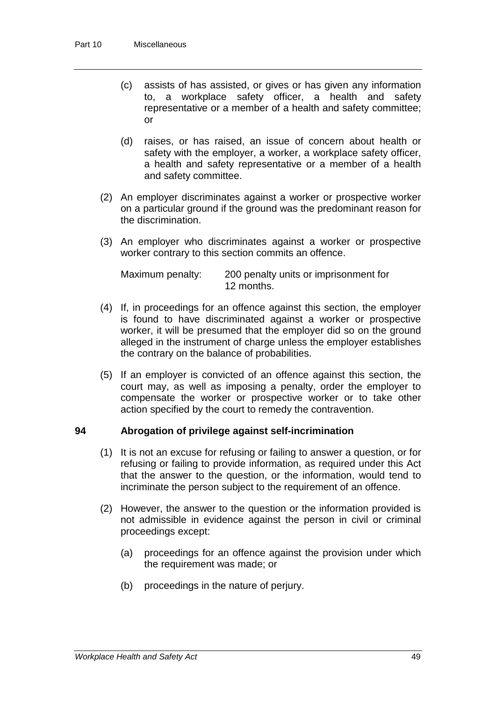- (c) assists of has assisted, or gives or has given any information to, a workplace safety officer, a health and safety representative or a member of a health and safety committee; or
- (d) raises, or has raised, an issue of concern about health or safety with the employer, a worker, a workplace safety officer, a health and safety representative or a member of a health and safety committee.
- (2) An employer discriminates against a worker or prospective worker on a particular ground if the ground was the predominant reason for the discrimination.
- (3) An employer who discriminates against a worker or prospective worker contrary to this section commits an offence.

| Maximum penalty: | 200 penalty units or imprisonment for |
|------------------|---------------------------------------|
|                  | 12 months.                            |

- (4) If, in proceedings for an offence against this section, the employer is found to have discriminated against a worker or prospective worker, it will be presumed that the employer did so on the ground alleged in the instrument of charge unless the employer establishes the contrary on the balance of probabilities.
- (5) If an employer is convicted of an offence against this section, the court may, as well as imposing a penalty, order the employer to compensate the worker or prospective worker or to take other action specified by the court to remedy the contravention.

## **94 Abrogation of privilege against self-incrimination**

- (1) It is not an excuse for refusing or failing to answer a question, or for refusing or failing to provide information, as required under this Act that the answer to the question, or the information, would tend to incriminate the person subject to the requirement of an offence.
- (2) However, the answer to the question or the information provided is not admissible in evidence against the person in civil or criminal proceedings except:
	- (a) proceedings for an offence against the provision under which the requirement was made; or
	- (b) proceedings in the nature of perjury.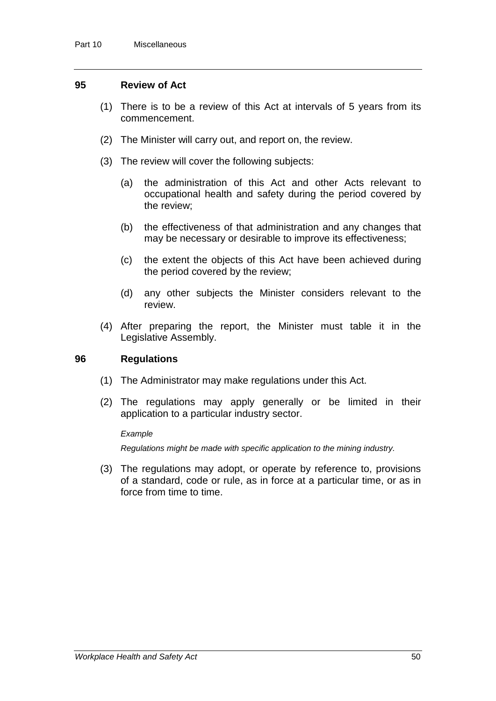#### **95 Review of Act**

- (1) There is to be a review of this Act at intervals of 5 years from its commencement.
- (2) The Minister will carry out, and report on, the review.
- (3) The review will cover the following subjects:
	- (a) the administration of this Act and other Acts relevant to occupational health and safety during the period covered by the review;
	- (b) the effectiveness of that administration and any changes that may be necessary or desirable to improve its effectiveness;
	- (c) the extent the objects of this Act have been achieved during the period covered by the review;
	- (d) any other subjects the Minister considers relevant to the review.
- (4) After preparing the report, the Minister must table it in the Legislative Assembly.

#### **96 Regulations**

- (1) The Administrator may make regulations under this Act.
- (2) The regulations may apply generally or be limited in their application to a particular industry sector.

#### *Example*

*Regulations might be made with specific application to the mining industry.*

(3) The regulations may adopt, or operate by reference to, provisions of a standard, code or rule, as in force at a particular time, or as in force from time to time.